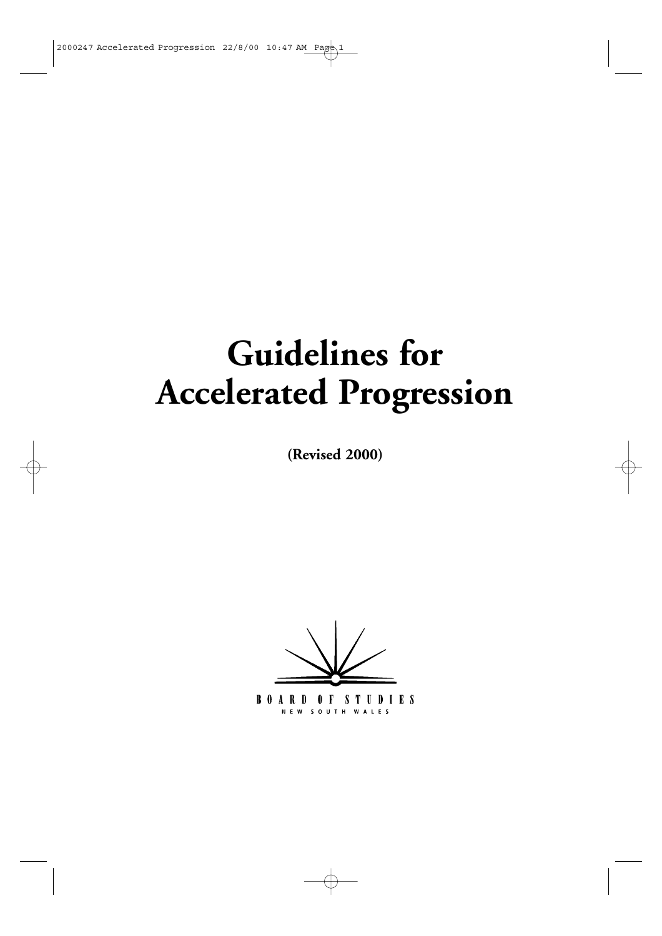# **Guidelines for Accelerated Progression**

**(Revised 2000)**

**BOARD OF STUDIES** NEW SOUTH WALES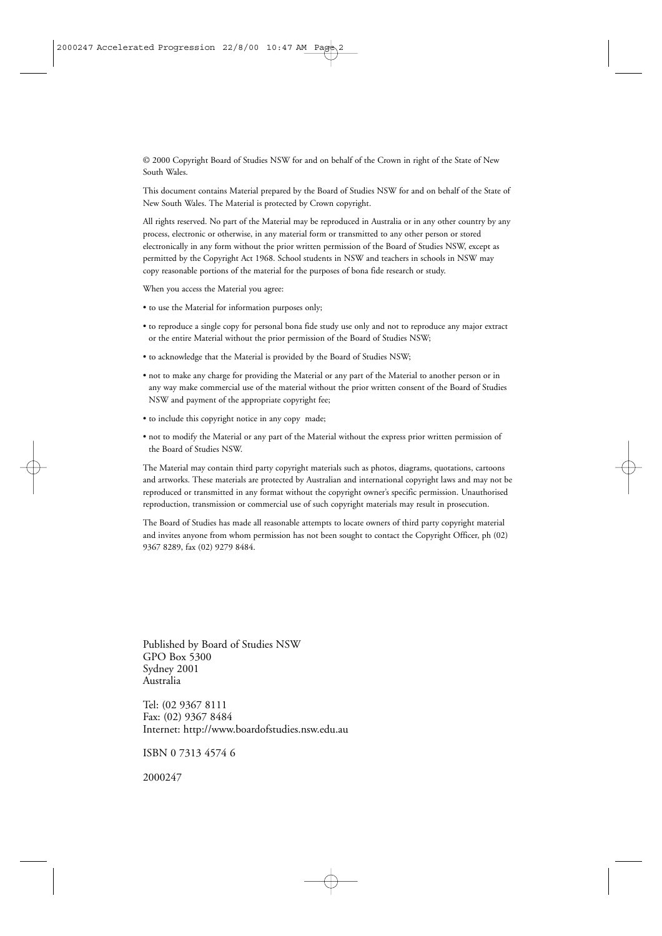© 2000 Copyright Board of Studies NSW for and on behalf of the Crown in right of the State of New South Wales.

This document contains Material prepared by the Board of Studies NSW for and on behalf of the State of New South Wales. The Material is protected by Crown copyright.

All rights reserved. No part of the Material may be reproduced in Australia or in any other country by any process, electronic or otherwise, in any material form or transmitted to any other person or stored electronically in any form without the prior written permission of the Board of Studies NSW, except as permitted by the Copyright Act 1968. School students in NSW and teachers in schools in NSW may copy reasonable portions of the material for the purposes of bona fide research or study.

When you access the Material you agree:

- to use the Material for information purposes only;
- to reproduce a single copy for personal bona fide study use only and not to reproduce any major extract or the entire Material without the prior permission of the Board of Studies NSW;
- to acknowledge that the Material is provided by the Board of Studies NSW;
- not to make any charge for providing the Material or any part of the Material to another person or in any way make commercial use of the material without the prior written consent of the Board of Studies NSW and payment of the appropriate copyright fee;
- to include this copyright notice in any copy made;
- not to modify the Material or any part of the Material without the express prior written permission of the Board of Studies NSW.

The Material may contain third party copyright materials such as photos, diagrams, quotations, cartoons and artworks. These materials are protected by Australian and international copyright laws and may not be reproduced or transmitted in any format without the copyright owner's specific permission. Unauthorised reproduction, transmission or commercial use of such copyright materials may result in prosecution.

The Board of Studies has made all reasonable attempts to locate owners of third party copyright material and invites anyone from whom permission has not been sought to contact the Copyright Officer, ph (02) 9367 8289, fax (02) 9279 8484.

Published by Board of Studies NSW GPO Box 5300 Sydney 2001 Australia

Tel: (02 9367 8111 Fax: (02) 9367 8484 Internet: http://www.boardofstudies.nsw.edu.au

ISBN 0 7313 4574 6

2000247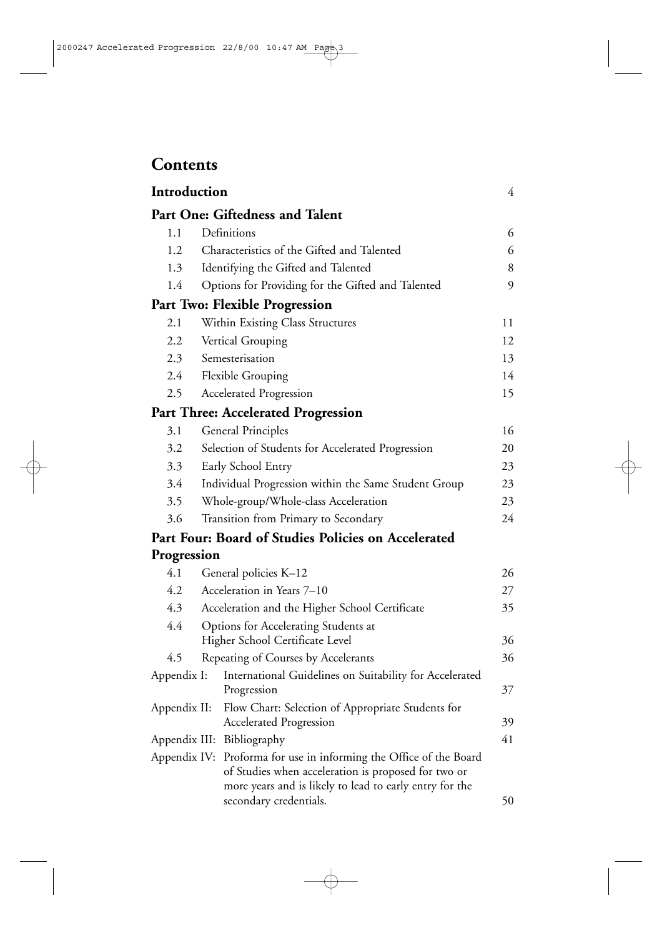## **Contents**

| Introduction |                                                                                                                                                                                      | 4  |  |  |
|--------------|--------------------------------------------------------------------------------------------------------------------------------------------------------------------------------------|----|--|--|
|              | Part One: Giftedness and Talent                                                                                                                                                      |    |  |  |
| 1.1          | Definitions                                                                                                                                                                          | 6  |  |  |
| 1.2          | Characteristics of the Gifted and Talented                                                                                                                                           | 6  |  |  |
| 1.3          | Identifying the Gifted and Talented                                                                                                                                                  | 8  |  |  |
| 1.4          | Options for Providing for the Gifted and Talented                                                                                                                                    | 9  |  |  |
|              | Part Two: Flexible Progression                                                                                                                                                       |    |  |  |
| 2.1          | Within Existing Class Structures                                                                                                                                                     | 11 |  |  |
| 2.2          | Vertical Grouping                                                                                                                                                                    | 12 |  |  |
| 2.3          | Semesterisation                                                                                                                                                                      | 13 |  |  |
| 2.4          | <b>Flexible Grouping</b>                                                                                                                                                             | 14 |  |  |
| 2.5          | <b>Accelerated Progression</b>                                                                                                                                                       | 15 |  |  |
|              | <b>Part Three: Accelerated Progression</b>                                                                                                                                           |    |  |  |
| 3.1          | <b>General Principles</b>                                                                                                                                                            | 16 |  |  |
| 3.2          | Selection of Students for Accelerated Progression                                                                                                                                    | 20 |  |  |
| 3.3          | Early School Entry                                                                                                                                                                   |    |  |  |
| 3.4          | Individual Progression within the Same Student Group                                                                                                                                 | 23 |  |  |
| 3.5          | Whole-group/Whole-class Acceleration                                                                                                                                                 | 23 |  |  |
| 3.6          | Transition from Primary to Secondary                                                                                                                                                 | 24 |  |  |
|              | Part Four: Board of Studies Policies on Accelerated                                                                                                                                  |    |  |  |
| Progression  |                                                                                                                                                                                      |    |  |  |
| 4.1          | General policies K-12                                                                                                                                                                | 26 |  |  |
| 4.2          | Acceleration in Years 7-10                                                                                                                                                           | 27 |  |  |
| 4.3          | Acceleration and the Higher School Certificate                                                                                                                                       | 35 |  |  |
| 4.4          | Options for Accelerating Students at                                                                                                                                                 |    |  |  |
|              | Higher School Certificate Level                                                                                                                                                      | 36 |  |  |
| 4.5          | Repeating of Courses by Accelerants                                                                                                                                                  | 36 |  |  |
| Appendix I:  | International Guidelines on Suitability for Accelerated<br>Progression                                                                                                               | 37 |  |  |
| Appendix II: | Flow Chart: Selection of Appropriate Students for<br><b>Accelerated Progression</b>                                                                                                  | 39 |  |  |
|              | Appendix III: Bibliography                                                                                                                                                           | 41 |  |  |
|              | Appendix IV: Proforma for use in informing the Office of the Board<br>of Studies when acceleration is proposed for two or<br>more years and is likely to lead to early entry for the |    |  |  |
|              | secondary credentials.                                                                                                                                                               | 50 |  |  |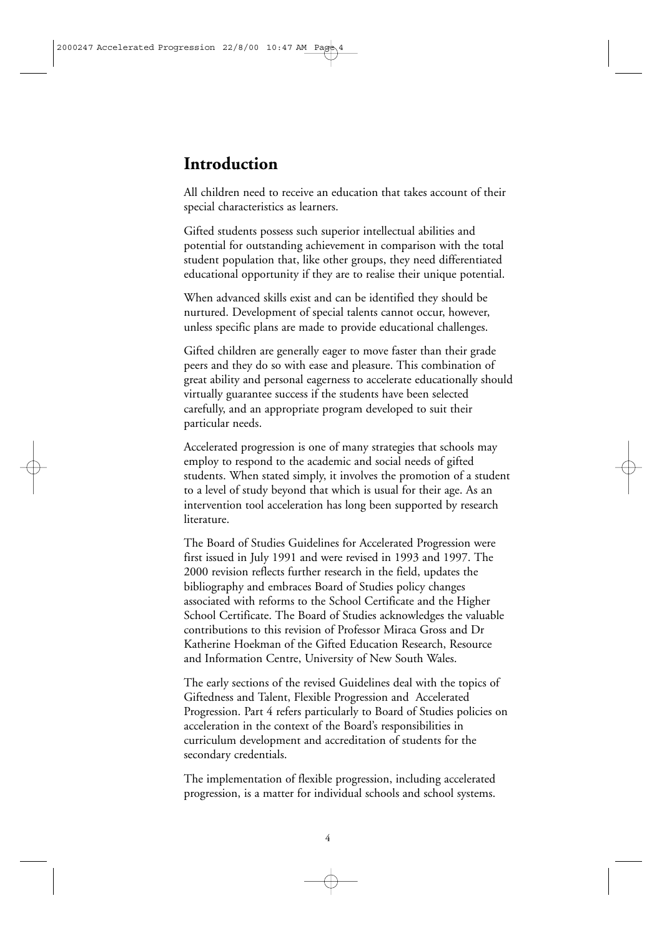## **Introduction**

All children need to receive an education that takes account of their special characteristics as learners.

Gifted students possess such superior intellectual abilities and potential for outstanding achievement in comparison with the total student population that, like other groups, they need differentiated educational opportunity if they are to realise their unique potential.

When advanced skills exist and can be identified they should be nurtured. Development of special talents cannot occur, however, unless specific plans are made to provide educational challenges.

Gifted children are generally eager to move faster than their grade peers and they do so with ease and pleasure. This combination of great ability and personal eagerness to accelerate educationally should virtually guarantee success if the students have been selected carefully, and an appropriate program developed to suit their particular needs.

Accelerated progression is one of many strategies that schools may employ to respond to the academic and social needs of gifted students. When stated simply, it involves the promotion of a student to a level of study beyond that which is usual for their age. As an intervention tool acceleration has long been supported by research literature.

The Board of Studies Guidelines for Accelerated Progression were first issued in July 1991 and were revised in 1993 and 1997. The 2000 revision reflects further research in the field, updates the bibliography and embraces Board of Studies policy changes associated with reforms to the School Certificate and the Higher School Certificate. The Board of Studies acknowledges the valuable contributions to this revision of Professor Miraca Gross and Dr Katherine Hoekman of the Gifted Education Research, Resource and Information Centre, University of New South Wales.

The early sections of the revised Guidelines deal with the topics of Giftedness and Talent, Flexible Progression and Accelerated Progression. Part 4 refers particularly to Board of Studies policies on acceleration in the context of the Board's responsibilities in curriculum development and accreditation of students for the secondary credentials.

The implementation of flexible progression, including accelerated progression, is a matter for individual schools and school systems.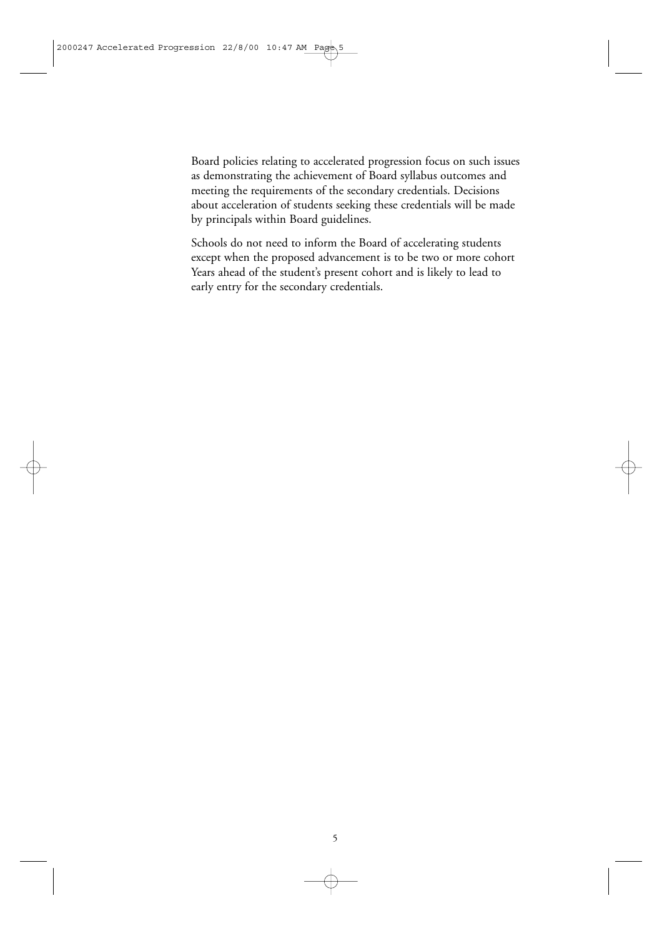Board policies relating to accelerated progression focus on such issues as demonstrating the achievement of Board syllabus outcomes and meeting the requirements of the secondary credentials. Decisions about acceleration of students seeking these credentials will be made by principals within Board guidelines.

Schools do not need to inform the Board of accelerating students except when the proposed advancement is to be two or more cohort Years ahead of the student's present cohort and is likely to lead to early entry for the secondary credentials.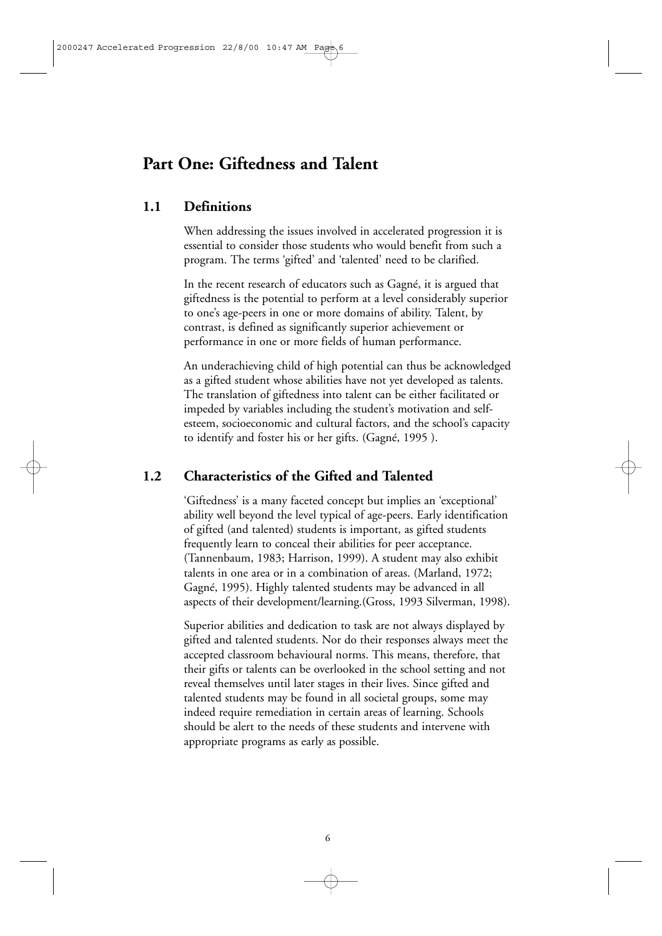## **Part One: Giftedness and Talent**

#### **1.1 Definitions**

When addressing the issues involved in accelerated progression it is essential to consider those students who would benefit from such a program. The terms 'gifted' and 'talented' need to be clarified.

In the recent research of educators such as Gagné, it is argued that giftedness is the potential to perform at a level considerably superior to one's age-peers in one or more domains of ability. Talent, by contrast, is defined as significantly superior achievement or performance in one or more fields of human performance.

An underachieving child of high potential can thus be acknowledged as a gifted student whose abilities have not yet developed as talents. The translation of giftedness into talent can be either facilitated or impeded by variables including the student's motivation and selfesteem, socioeconomic and cultural factors, and the school's capacity to identify and foster his or her gifts. (Gagné, 1995 ).

#### **1.2 Characteristics of the Gifted and Talented**

'Giftedness' is a many faceted concept but implies an 'exceptional' ability well beyond the level typical of age-peers. Early identification of gifted (and talented) students is important, as gifted students frequently learn to conceal their abilities for peer acceptance. (Tannenbaum, 1983; Harrison, 1999). A student may also exhibit talents in one area or in a combination of areas. (Marland, 1972; Gagné, 1995). Highly talented students may be advanced in all aspects of their development/learning.(Gross, 1993 Silverman, 1998).

Superior abilities and dedication to task are not always displayed by gifted and talented students. Nor do their responses always meet the accepted classroom behavioural norms. This means, therefore, that their gifts or talents can be overlooked in the school setting and not reveal themselves until later stages in their lives. Since gifted and talented students may be found in all societal groups, some may indeed require remediation in certain areas of learning. Schools should be alert to the needs of these students and intervene with appropriate programs as early as possible.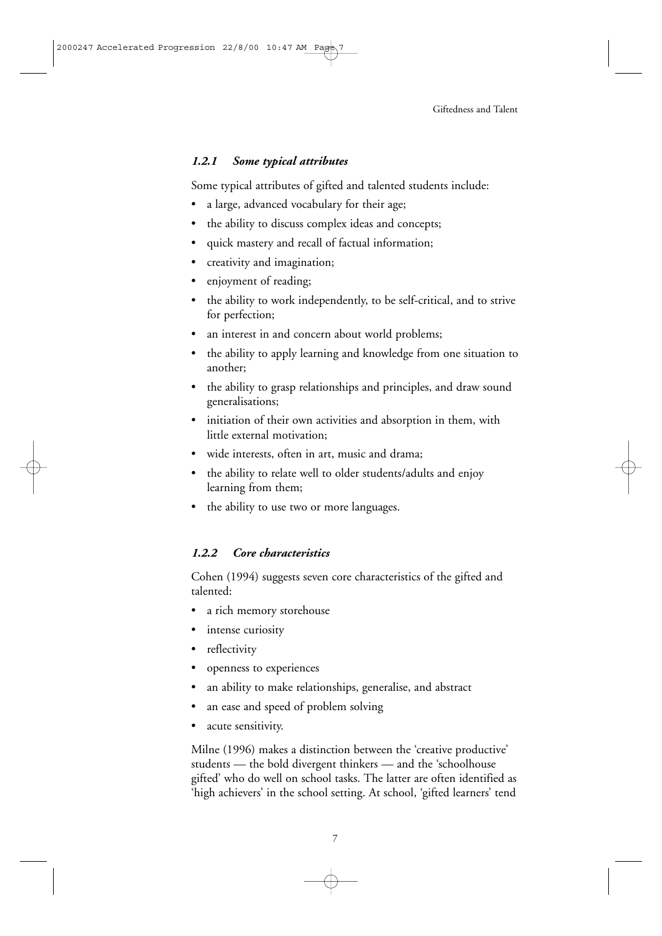#### *1.2.1 Some typical attributes*

Some typical attributes of gifted and talented students include:

- a large, advanced vocabulary for their age;
- the ability to discuss complex ideas and concepts;
- quick mastery and recall of factual information;
- creativity and imagination;
- enjoyment of reading;
- the ability to work independently, to be self-critical, and to strive for perfection;
- an interest in and concern about world problems;
- the ability to apply learning and knowledge from one situation to another;
- the ability to grasp relationships and principles, and draw sound generalisations;
- initiation of their own activities and absorption in them, with little external motivation;
- wide interests, often in art, music and drama;
- the ability to relate well to older students/adults and enjoy learning from them;
- the ability to use two or more languages.

#### *1.2.2 Core characteristics*

Cohen (1994) suggests seven core characteristics of the gifted and talented:

- a rich memory storehouse
- intense curiosity
- reflectivity
- openness to experiences
- an ability to make relationships, generalise, and abstract
- an ease and speed of problem solving
- acute sensitivity.

Milne (1996) makes a distinction between the 'creative productive' students — the bold divergent thinkers — and the 'schoolhouse gifted' who do well on school tasks. The latter are often identified as 'high achievers' in the school setting. At school, 'gifted learners' tend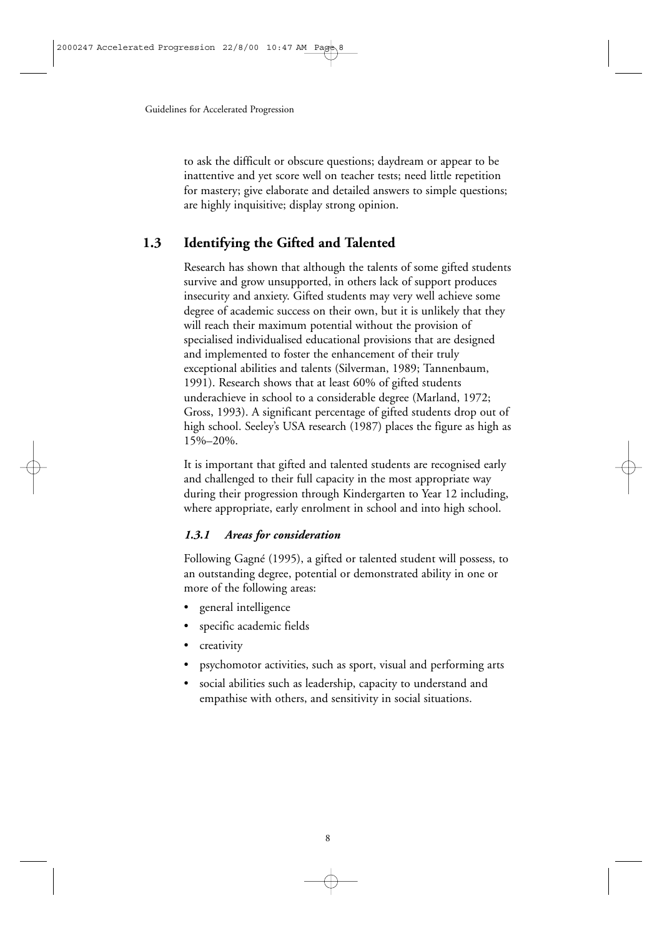to ask the difficult or obscure questions; daydream or appear to be inattentive and yet score well on teacher tests; need little repetition for mastery; give elaborate and detailed answers to simple questions; are highly inquisitive; display strong opinion.

## **1.3 Identifying the Gifted and Talented**

Research has shown that although the talents of some gifted students survive and grow unsupported, in others lack of support produces insecurity and anxiety. Gifted students may very well achieve some degree of academic success on their own, but it is unlikely that they will reach their maximum potential without the provision of specialised individualised educational provisions that are designed and implemented to foster the enhancement of their truly exceptional abilities and talents (Silverman, 1989; Tannenbaum, 1991). Research shows that at least 60% of gifted students underachieve in school to a considerable degree (Marland, 1972; Gross, 1993). A significant percentage of gifted students drop out of high school. Seeley's USA research (1987) places the figure as high as 15%–20%.

It is important that gifted and talented students are recognised early and challenged to their full capacity in the most appropriate way during their progression through Kindergarten to Year 12 including, where appropriate, early enrolment in school and into high school.

#### *1.3.1 Areas for consideration*

Following Gagné (1995), a gifted or talented student will possess, to an outstanding degree, potential or demonstrated ability in one or more of the following areas:

- general intelligence
- specific academic fields
- creativity
- psychomotor activities, such as sport, visual and performing arts
- social abilities such as leadership, capacity to understand and empathise with others, and sensitivity in social situations.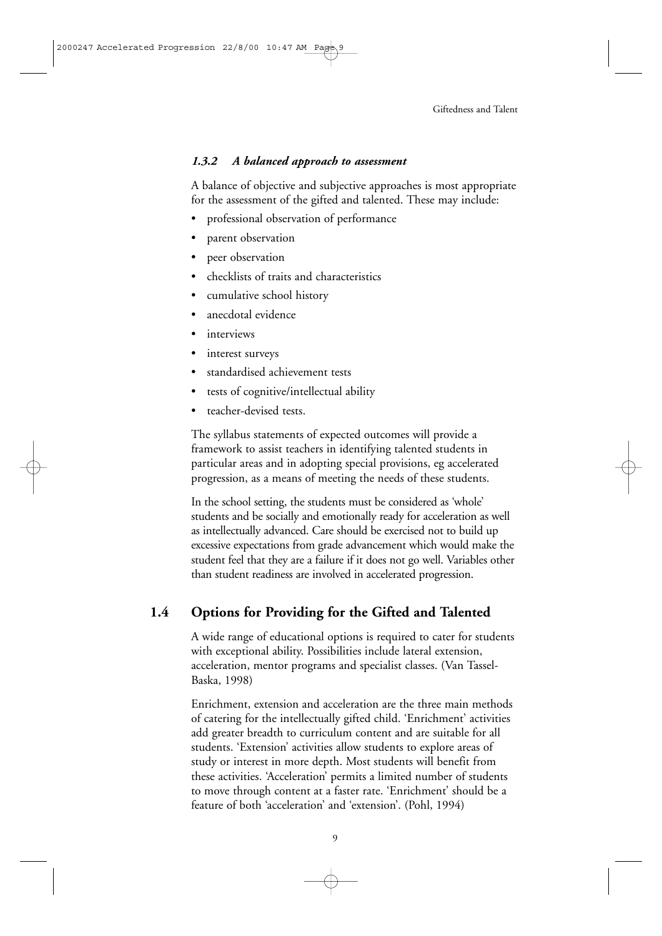#### *1.3.2 A balanced approach to assessment*

A balance of objective and subjective approaches is most appropriate for the assessment of the gifted and talented. These may include:

- professional observation of performance
- parent observation
- peer observation
- checklists of traits and characteristics
- cumulative school history
- anecdotal evidence
- interviews
- interest surveys
- standardised achievement tests
- tests of cognitive/intellectual ability
- teacher-devised tests.

The syllabus statements of expected outcomes will provide a framework to assist teachers in identifying talented students in particular areas and in adopting special provisions, eg accelerated progression, as a means of meeting the needs of these students.

In the school setting, the students must be considered as 'whole' students and be socially and emotionally ready for acceleration as well as intellectually advanced. Care should be exercised not to build up excessive expectations from grade advancement which would make the student feel that they are a failure if it does not go well. Variables other than student readiness are involved in accelerated progression.

## **1.4 Options for Providing for the Gifted and Talented**

A wide range of educational options is required to cater for students with exceptional ability. Possibilities include lateral extension, acceleration, mentor programs and specialist classes. (Van Tassel-Baska, 1998)

Enrichment, extension and acceleration are the three main methods of catering for the intellectually gifted child. 'Enrichment' activities add greater breadth to curriculum content and are suitable for all students. 'Extension' activities allow students to explore areas of study or interest in more depth. Most students will benefit from these activities. 'Acceleration' permits a limited number of students to move through content at a faster rate. 'Enrichment' should be a feature of both 'acceleration' and 'extension'. (Pohl, 1994)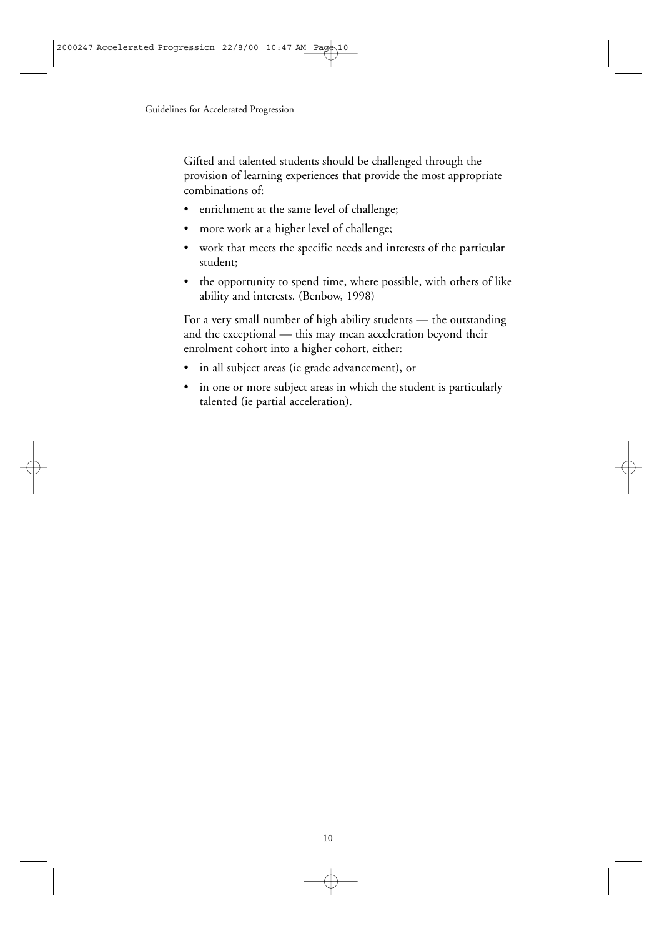Gifted and talented students should be challenged through the provision of learning experiences that provide the most appropriate combinations of:

- enrichment at the same level of challenge;
- more work at a higher level of challenge;
- work that meets the specific needs and interests of the particular student;
- the opportunity to spend time, where possible, with others of like ability and interests. (Benbow, 1998)

For a very small number of high ability students — the outstanding and the exceptional — this may mean acceleration beyond their enrolment cohort into a higher cohort, either:

- in all subject areas (ie grade advancement), or
- in one or more subject areas in which the student is particularly talented (ie partial acceleration).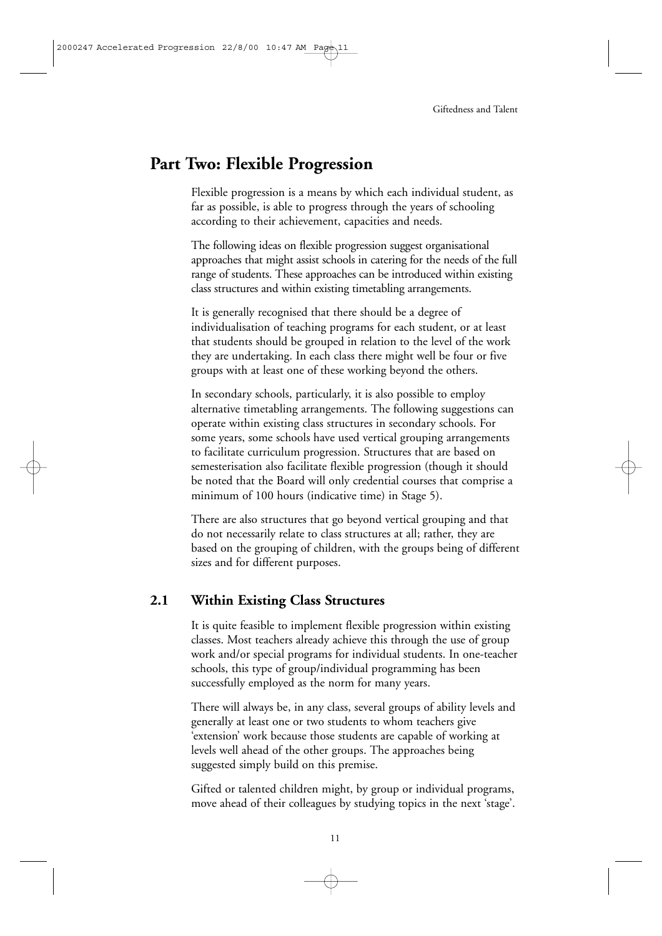## **Part Two: Flexible Progression**

Flexible progression is a means by which each individual student, as far as possible, is able to progress through the years of schooling according to their achievement, capacities and needs.

The following ideas on flexible progression suggest organisational approaches that might assist schools in catering for the needs of the full range of students. These approaches can be introduced within existing class structures and within existing timetabling arrangements.

It is generally recognised that there should be a degree of individualisation of teaching programs for each student, or at least that students should be grouped in relation to the level of the work they are undertaking. In each class there might well be four or five groups with at least one of these working beyond the others.

In secondary schools, particularly, it is also possible to employ alternative timetabling arrangements. The following suggestions can operate within existing class structures in secondary schools. For some years, some schools have used vertical grouping arrangements to facilitate curriculum progression. Structures that are based on semesterisation also facilitate flexible progression (though it should be noted that the Board will only credential courses that comprise a minimum of 100 hours (indicative time) in Stage 5).

There are also structures that go beyond vertical grouping and that do not necessarily relate to class structures at all; rather, they are based on the grouping of children, with the groups being of different sizes and for different purposes.

## **2.1 Within Existing Class Structures**

It is quite feasible to implement flexible progression within existing classes. Most teachers already achieve this through the use of group work and/or special programs for individual students. In one-teacher schools, this type of group/individual programming has been successfully employed as the norm for many years.

There will always be, in any class, several groups of ability levels and generally at least one or two students to whom teachers give 'extension' work because those students are capable of working at levels well ahead of the other groups. The approaches being suggested simply build on this premise.

Gifted or talented children might, by group or individual programs, move ahead of their colleagues by studying topics in the next 'stage'.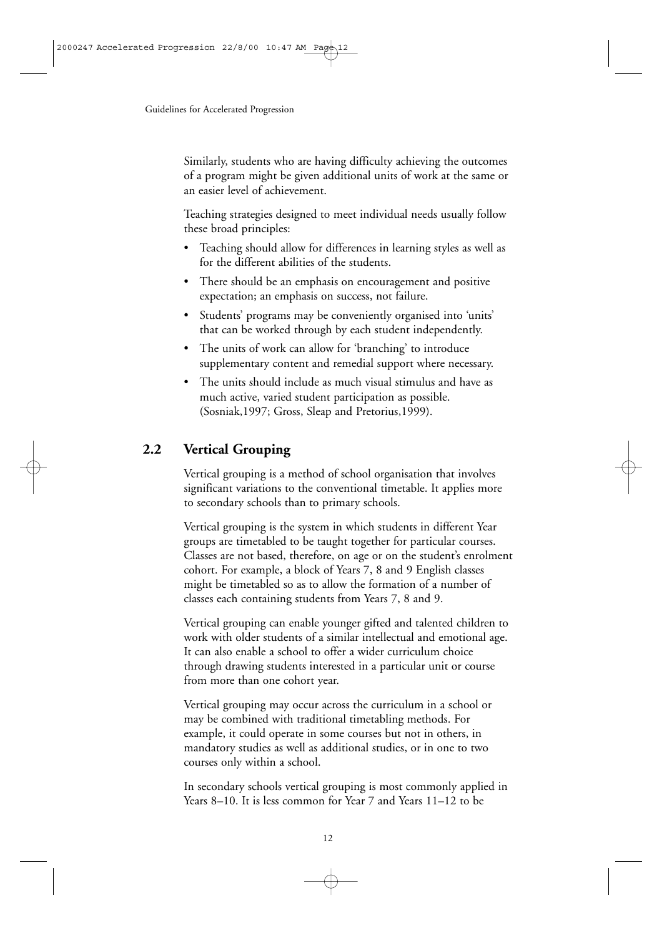Similarly, students who are having difficulty achieving the outcomes of a program might be given additional units of work at the same or an easier level of achievement.

Teaching strategies designed to meet individual needs usually follow these broad principles:

- Teaching should allow for differences in learning styles as well as for the different abilities of the students.
- There should be an emphasis on encouragement and positive expectation; an emphasis on success, not failure.
- Students' programs may be conveniently organised into 'units' that can be worked through by each student independently.
- The units of work can allow for 'branching' to introduce supplementary content and remedial support where necessary.
- The units should include as much visual stimulus and have as much active, varied student participation as possible. (Sosniak,1997; Gross, Sleap and Pretorius,1999).

## **2.2 Vertical Grouping**

Vertical grouping is a method of school organisation that involves significant variations to the conventional timetable. It applies more to secondary schools than to primary schools.

Vertical grouping is the system in which students in different Year groups are timetabled to be taught together for particular courses. Classes are not based, therefore, on age or on the student's enrolment cohort. For example, a block of Years 7, 8 and 9 English classes might be timetabled so as to allow the formation of a number of classes each containing students from Years 7, 8 and 9.

Vertical grouping can enable younger gifted and talented children to work with older students of a similar intellectual and emotional age. It can also enable a school to offer a wider curriculum choice through drawing students interested in a particular unit or course from more than one cohort year.

Vertical grouping may occur across the curriculum in a school or may be combined with traditional timetabling methods. For example, it could operate in some courses but not in others, in mandatory studies as well as additional studies, or in one to two courses only within a school.

In secondary schools vertical grouping is most commonly applied in Years 8–10. It is less common for Year 7 and Years 11–12 to be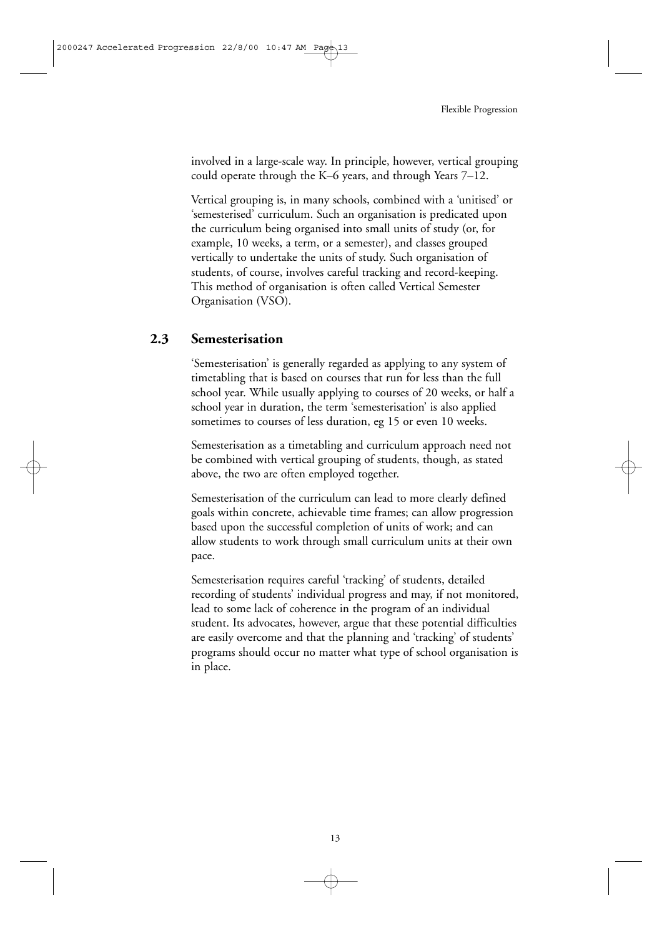involved in a large-scale way. In principle, however, vertical grouping could operate through the K–6 years, and through Years 7–12.

Vertical grouping is, in many schools, combined with a 'unitised' or 'semesterised' curriculum. Such an organisation is predicated upon the curriculum being organised into small units of study (or, for example, 10 weeks, a term, or a semester), and classes grouped vertically to undertake the units of study. Such organisation of students, of course, involves careful tracking and record-keeping. This method of organisation is often called Vertical Semester Organisation (VSO).

#### **2.3 Semesterisation**

'Semesterisation' is generally regarded as applying to any system of timetabling that is based on courses that run for less than the full school year. While usually applying to courses of 20 weeks, or half a school year in duration, the term 'semesterisation' is also applied sometimes to courses of less duration, eg 15 or even 10 weeks.

Semesterisation as a timetabling and curriculum approach need not be combined with vertical grouping of students, though, as stated above, the two are often employed together.

Semesterisation of the curriculum can lead to more clearly defined goals within concrete, achievable time frames; can allow progression based upon the successful completion of units of work; and can allow students to work through small curriculum units at their own pace.

Semesterisation requires careful 'tracking' of students, detailed recording of students' individual progress and may, if not monitored, lead to some lack of coherence in the program of an individual student. Its advocates, however, argue that these potential difficulties are easily overcome and that the planning and 'tracking' of students' programs should occur no matter what type of school organisation is in place.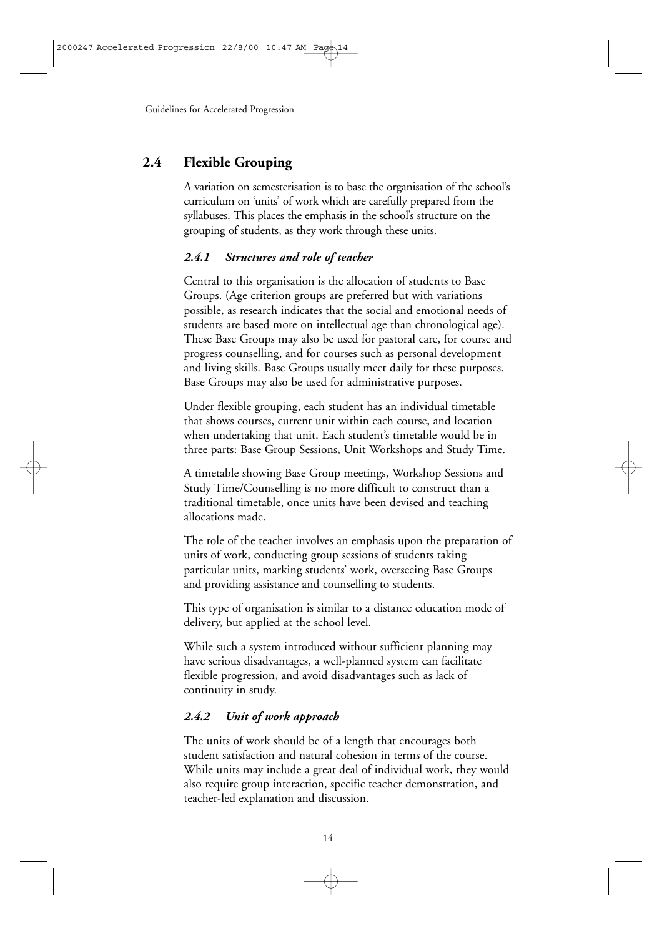## **2.4 Flexible Grouping**

A variation on semesterisation is to base the organisation of the school's curriculum on 'units' of work which are carefully prepared from the syllabuses. This places the emphasis in the school's structure on the grouping of students, as they work through these units.

#### *2.4.1 Structures and role of teacher*

Central to this organisation is the allocation of students to Base Groups. (Age criterion groups are preferred but with variations possible, as research indicates that the social and emotional needs of students are based more on intellectual age than chronological age). These Base Groups may also be used for pastoral care, for course and progress counselling, and for courses such as personal development and living skills. Base Groups usually meet daily for these purposes. Base Groups may also be used for administrative purposes.

Under flexible grouping, each student has an individual timetable that shows courses, current unit within each course, and location when undertaking that unit. Each student's timetable would be in three parts: Base Group Sessions, Unit Workshops and Study Time.

A timetable showing Base Group meetings, Workshop Sessions and Study Time/Counselling is no more difficult to construct than a traditional timetable, once units have been devised and teaching allocations made.

The role of the teacher involves an emphasis upon the preparation of units of work, conducting group sessions of students taking particular units, marking students' work, overseeing Base Groups and providing assistance and counselling to students.

This type of organisation is similar to a distance education mode of delivery, but applied at the school level.

While such a system introduced without sufficient planning may have serious disadvantages, a well-planned system can facilitate flexible progression, and avoid disadvantages such as lack of continuity in study.

## *2.4.2 Unit of work approach*

The units of work should be of a length that encourages both student satisfaction and natural cohesion in terms of the course. While units may include a great deal of individual work, they would also require group interaction, specific teacher demonstration, and teacher-led explanation and discussion.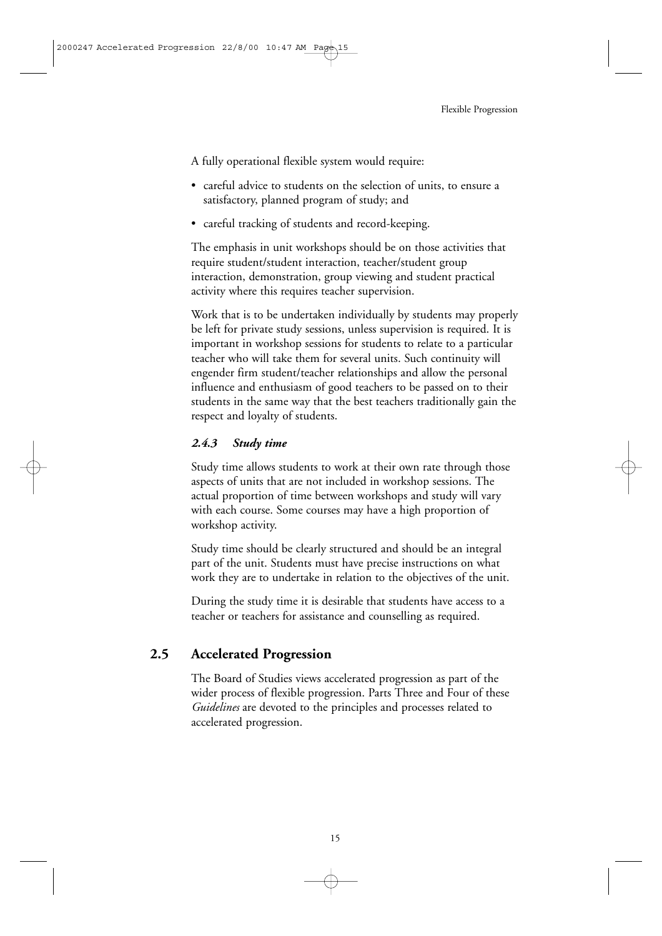A fully operational flexible system would require:

- careful advice to students on the selection of units, to ensure a satisfactory, planned program of study; and
- careful tracking of students and record-keeping.

The emphasis in unit workshops should be on those activities that require student/student interaction, teacher/student group interaction, demonstration, group viewing and student practical activity where this requires teacher supervision.

Work that is to be undertaken individually by students may properly be left for private study sessions, unless supervision is required. It is important in workshop sessions for students to relate to a particular teacher who will take them for several units. Such continuity will engender firm student/teacher relationships and allow the personal influence and enthusiasm of good teachers to be passed on to their students in the same way that the best teachers traditionally gain the respect and loyalty of students.

#### *2.4.3 Study time*

Study time allows students to work at their own rate through those aspects of units that are not included in workshop sessions. The actual proportion of time between workshops and study will vary with each course. Some courses may have a high proportion of workshop activity.

Study time should be clearly structured and should be an integral part of the unit. Students must have precise instructions on what work they are to undertake in relation to the objectives of the unit.

During the study time it is desirable that students have access to a teacher or teachers for assistance and counselling as required.

## **2.5 Accelerated Progression**

The Board of Studies views accelerated progression as part of the wider process of flexible progression. Parts Three and Four of these *Guidelines* are devoted to the principles and processes related to accelerated progression.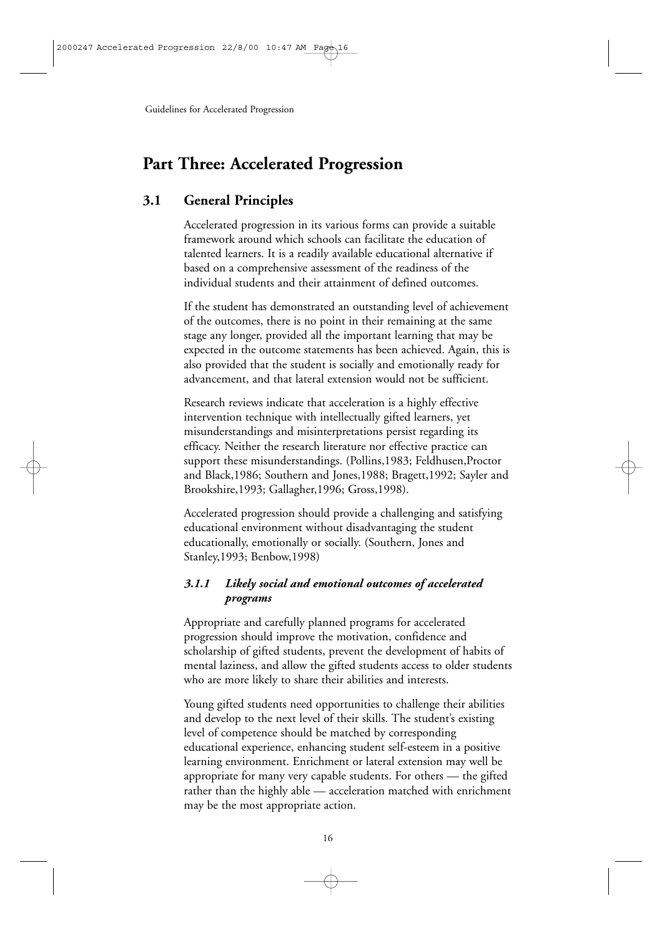## **Part Three: Accelerated Progression**

## **3.1 General Principles**

Accelerated progression in its various forms can provide a suitable framework around which schools can facilitate the education of talented learners. It is a readily available educational alternative if based on a comprehensive assessment of the readiness of the individual students and their attainment of defined outcomes.

If the student has demonstrated an outstanding level of achievement of the outcomes, there is no point in their remaining at the same stage any longer, provided all the important learning that may be expected in the outcome statements has been achieved. Again, this is also provided that the student is socially and emotionally ready for advancement, and that lateral extension would not be sufficient.

Research reviews indicate that acceleration is a highly effective intervention technique with intellectually gifted learners, yet misunderstandings and misinterpretations persist regarding its efficacy. Neither the research literature nor effective practice can support these misunderstandings. (Pollins,1983; Feldhusen,Proctor and Black,1986; Southern and Jones,1988; Bragett,1992; Sayler and Brookshire,1993; Gallagher,1996; Gross,1998).

Accelerated progression should provide a challenging and satisfying educational environment without disadvantaging the student educationally, emotionally or socially. (Southern, Jones and Stanley,1993; Benbow,1998)

#### *3.1.1 Likely social and emotional outcomes of accelerated programs*

Appropriate and carefully planned programs for accelerated progression should improve the motivation, confidence and scholarship of gifted students, prevent the development of habits of mental laziness, and allow the gifted students access to older students who are more likely to share their abilities and interests.

Young gifted students need opportunities to challenge their abilities and develop to the next level of their skills. The student's existing level of competence should be matched by corresponding educational experience, enhancing student self-esteem in a positive learning environment. Enrichment or lateral extension may well be appropriate for many very capable students. For others — the gifted rather than the highly able — acceleration matched with enrichment may be the most appropriate action.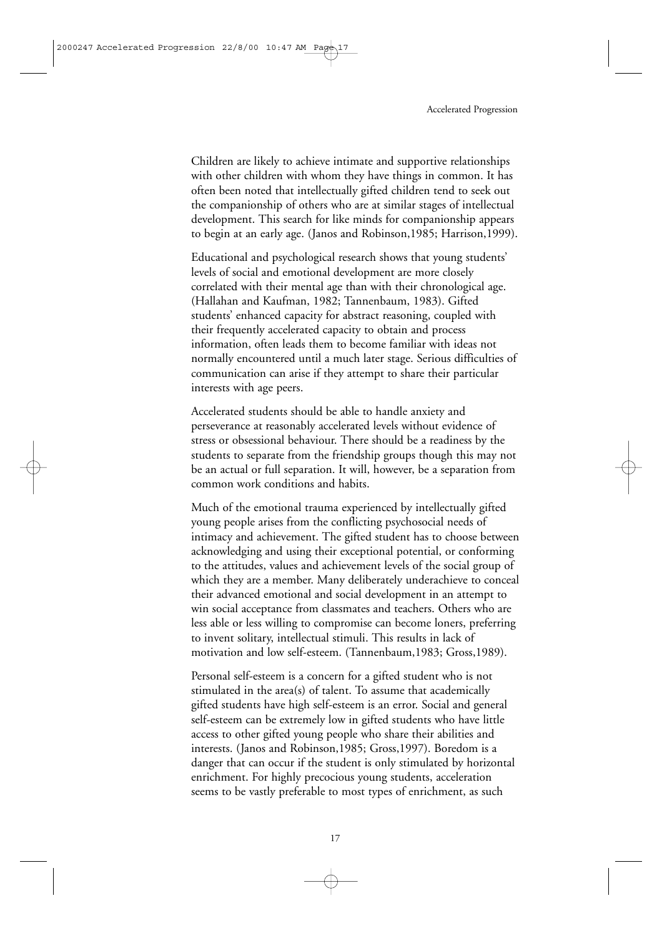Children are likely to achieve intimate and supportive relationships with other children with whom they have things in common. It has often been noted that intellectually gifted children tend to seek out the companionship of others who are at similar stages of intellectual development. This search for like minds for companionship appears to begin at an early age. (Janos and Robinson,1985; Harrison,1999).

Educational and psychological research shows that young students' levels of social and emotional development are more closely correlated with their mental age than with their chronological age. (Hallahan and Kaufman, 1982; Tannenbaum, 1983). Gifted students' enhanced capacity for abstract reasoning, coupled with their frequently accelerated capacity to obtain and process information, often leads them to become familiar with ideas not normally encountered until a much later stage. Serious difficulties of communication can arise if they attempt to share their particular interests with age peers.

Accelerated students should be able to handle anxiety and perseverance at reasonably accelerated levels without evidence of stress or obsessional behaviour. There should be a readiness by the students to separate from the friendship groups though this may not be an actual or full separation. It will, however, be a separation from common work conditions and habits.

Much of the emotional trauma experienced by intellectually gifted young people arises from the conflicting psychosocial needs of intimacy and achievement. The gifted student has to choose between acknowledging and using their exceptional potential, or conforming to the attitudes, values and achievement levels of the social group of which they are a member. Many deliberately underachieve to conceal their advanced emotional and social development in an attempt to win social acceptance from classmates and teachers. Others who are less able or less willing to compromise can become loners, preferring to invent solitary, intellectual stimuli. This results in lack of motivation and low self-esteem. (Tannenbaum,1983; Gross,1989).

Personal self-esteem is a concern for a gifted student who is not stimulated in the area(s) of talent. To assume that academically gifted students have high self-esteem is an error. Social and general self-esteem can be extremely low in gifted students who have little access to other gifted young people who share their abilities and interests. (Janos and Robinson,1985; Gross,1997). Boredom is a danger that can occur if the student is only stimulated by horizontal enrichment. For highly precocious young students, acceleration seems to be vastly preferable to most types of enrichment, as such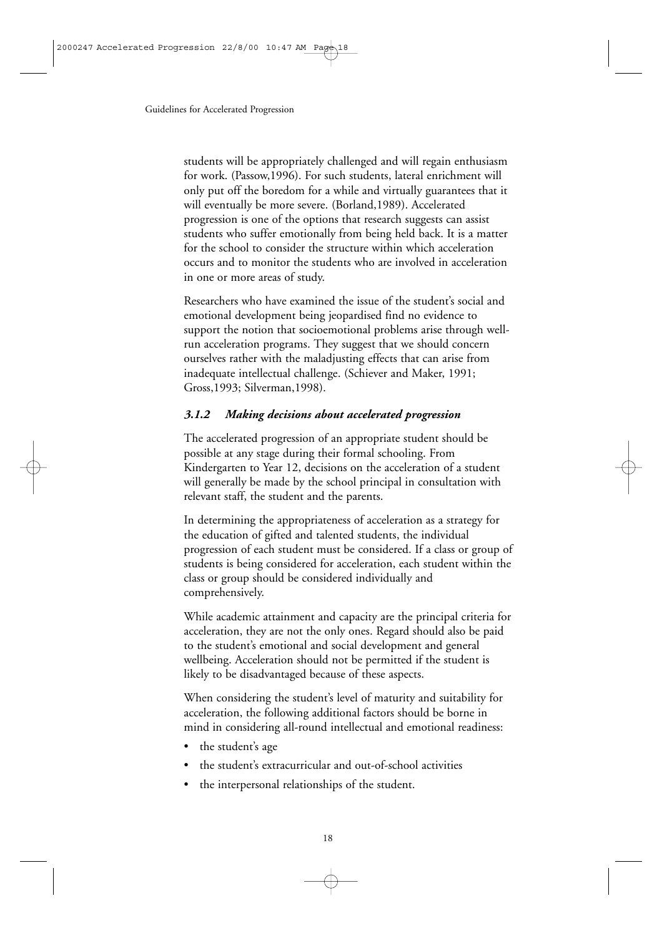students will be appropriately challenged and will regain enthusiasm for work. (Passow,1996). For such students, lateral enrichment will only put off the boredom for a while and virtually guarantees that it will eventually be more severe. (Borland,1989). Accelerated progression is one of the options that research suggests can assist students who suffer emotionally from being held back. It is a matter for the school to consider the structure within which acceleration occurs and to monitor the students who are involved in acceleration in one or more areas of study.

Researchers who have examined the issue of the student's social and emotional development being jeopardised find no evidence to support the notion that socioemotional problems arise through wellrun acceleration programs. They suggest that we should concern ourselves rather with the maladjusting effects that can arise from inadequate intellectual challenge. (Schiever and Maker, 1991; Gross,1993; Silverman,1998).

#### *3.1.2 Making decisions about accelerated progression*

The accelerated progression of an appropriate student should be possible at any stage during their formal schooling. From Kindergarten to Year 12, decisions on the acceleration of a student will generally be made by the school principal in consultation with relevant staff, the student and the parents.

In determining the appropriateness of acceleration as a strategy for the education of gifted and talented students, the individual progression of each student must be considered. If a class or group of students is being considered for acceleration, each student within the class or group should be considered individually and comprehensively.

While academic attainment and capacity are the principal criteria for acceleration, they are not the only ones. Regard should also be paid to the student's emotional and social development and general wellbeing. Acceleration should not be permitted if the student is likely to be disadvantaged because of these aspects.

When considering the student's level of maturity and suitability for acceleration, the following additional factors should be borne in mind in considering all-round intellectual and emotional readiness:

- the student's age
- the student's extracurricular and out-of-school activities
- the interpersonal relationships of the student.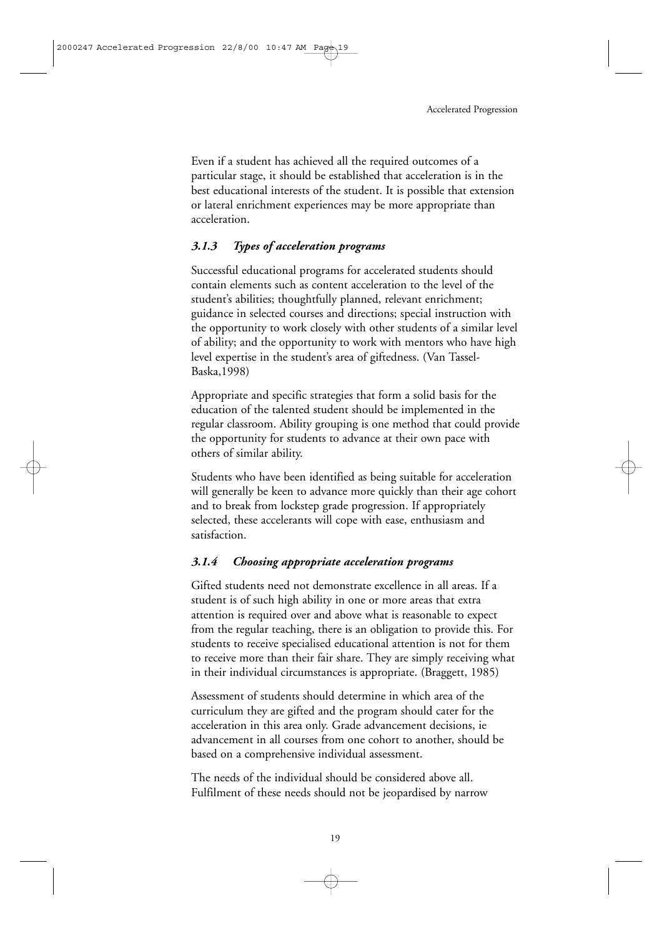Even if a student has achieved all the required outcomes of a particular stage, it should be established that acceleration is in the best educational interests of the student. It is possible that extension or lateral enrichment experiences may be more appropriate than acceleration.

#### *3.1.3 Types of acceleration programs*

Successful educational programs for accelerated students should contain elements such as content acceleration to the level of the student's abilities; thoughtfully planned, relevant enrichment; guidance in selected courses and directions; special instruction with the opportunity to work closely with other students of a similar level of ability; and the opportunity to work with mentors who have high level expertise in the student's area of giftedness. (Van Tassel-Baska,1998)

Appropriate and specific strategies that form a solid basis for the education of the talented student should be implemented in the regular classroom. Ability grouping is one method that could provide the opportunity for students to advance at their own pace with others of similar ability.

Students who have been identified as being suitable for acceleration will generally be keen to advance more quickly than their age cohort and to break from lockstep grade progression. If appropriately selected, these accelerants will cope with ease, enthusiasm and satisfaction.

#### *3.1.4 Choosing appropriate acceleration programs*

Gifted students need not demonstrate excellence in all areas. If a student is of such high ability in one or more areas that extra attention is required over and above what is reasonable to expect from the regular teaching, there is an obligation to provide this. For students to receive specialised educational attention is not for them to receive more than their fair share. They are simply receiving what in their individual circumstances is appropriate. (Braggett, 1985)

Assessment of students should determine in which area of the curriculum they are gifted and the program should cater for the acceleration in this area only. Grade advancement decisions, ie advancement in all courses from one cohort to another, should be based on a comprehensive individual assessment.

The needs of the individual should be considered above all. Fulfilment of these needs should not be jeopardised by narrow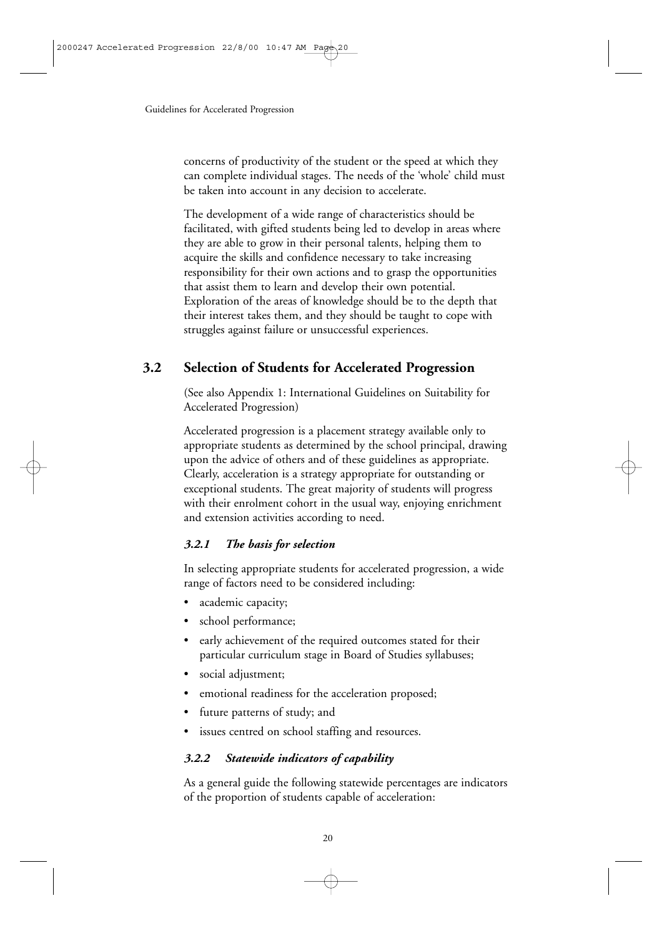concerns of productivity of the student or the speed at which they can complete individual stages. The needs of the 'whole' child must be taken into account in any decision to accelerate.

The development of a wide range of characteristics should be facilitated, with gifted students being led to develop in areas where they are able to grow in their personal talents, helping them to acquire the skills and confidence necessary to take increasing responsibility for their own actions and to grasp the opportunities that assist them to learn and develop their own potential. Exploration of the areas of knowledge should be to the depth that their interest takes them, and they should be taught to cope with struggles against failure or unsuccessful experiences.

## **3.2 Selection of Students for Accelerated Progression**

(See also Appendix 1: International Guidelines on Suitability for Accelerated Progression)

Accelerated progression is a placement strategy available only to appropriate students as determined by the school principal, drawing upon the advice of others and of these guidelines as appropriate. Clearly, acceleration is a strategy appropriate for outstanding or exceptional students. The great majority of students will progress with their enrolment cohort in the usual way, enjoying enrichment and extension activities according to need.

#### *3.2.1 The basis for selection*

In selecting appropriate students for accelerated progression, a wide range of factors need to be considered including:

- academic capacity;
- school performance;
- early achievement of the required outcomes stated for their particular curriculum stage in Board of Studies syllabuses;
- social adjustment;
- emotional readiness for the acceleration proposed;
- future patterns of study; and
- issues centred on school staffing and resources.

#### *3.2.2 Statewide indicators of capability*

As a general guide the following statewide percentages are indicators of the proportion of students capable of acceleration: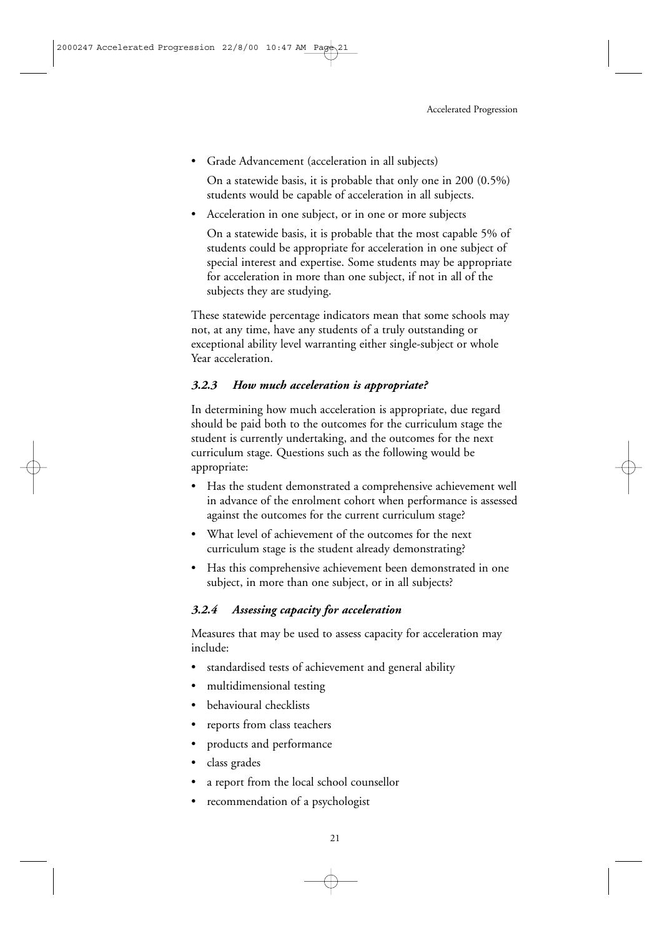• Grade Advancement (acceleration in all subjects)

On a statewide basis, it is probable that only one in 200 (0.5%) students would be capable of acceleration in all subjects.

Acceleration in one subject, or in one or more subjects

On a statewide basis, it is probable that the most capable 5% of students could be appropriate for acceleration in one subject of special interest and expertise. Some students may be appropriate for acceleration in more than one subject, if not in all of the subjects they are studying.

These statewide percentage indicators mean that some schools may not, at any time, have any students of a truly outstanding or exceptional ability level warranting either single-subject or whole Year acceleration.

#### *3.2.3 How much acceleration is appropriate?*

In determining how much acceleration is appropriate, due regard should be paid both to the outcomes for the curriculum stage the student is currently undertaking, and the outcomes for the next curriculum stage. Questions such as the following would be appropriate:

- Has the student demonstrated a comprehensive achievement well in advance of the enrolment cohort when performance is assessed against the outcomes for the current curriculum stage?
- What level of achievement of the outcomes for the next curriculum stage is the student already demonstrating?
- Has this comprehensive achievement been demonstrated in one subject, in more than one subject, or in all subjects?

#### *3.2.4 Assessing capacity for acceleration*

Measures that may be used to assess capacity for acceleration may include:

- standardised tests of achievement and general ability
- multidimensional testing
- behavioural checklists
- reports from class teachers
- products and performance
- class grades
- a report from the local school counsellor
- recommendation of a psychologist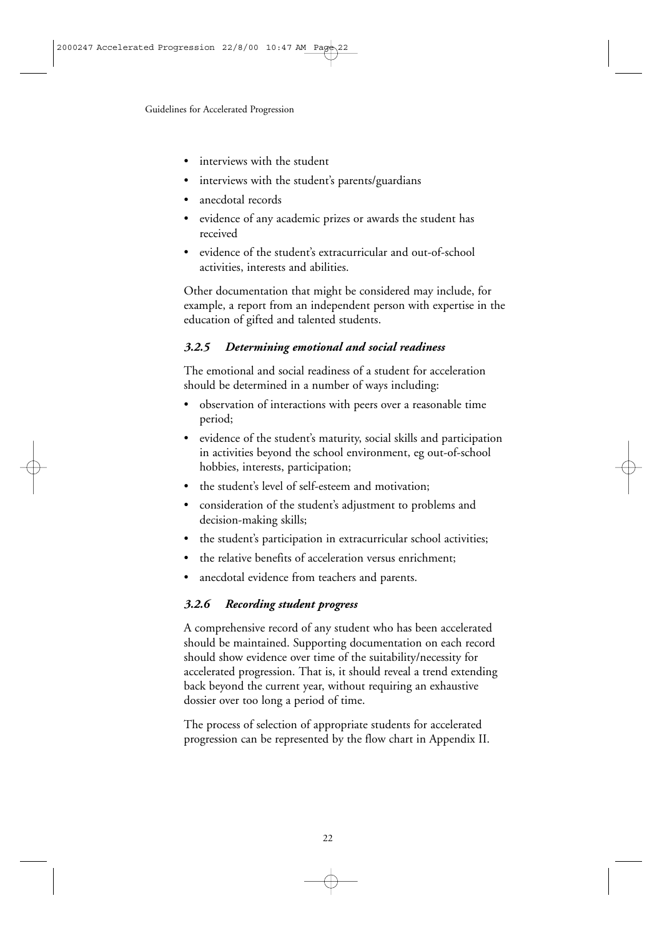- interviews with the student
- interviews with the student's parents/guardians
- anecdotal records
- evidence of any academic prizes or awards the student has received
- evidence of the student's extracurricular and out-of-school activities, interests and abilities.

Other documentation that might be considered may include, for example, a report from an independent person with expertise in the education of gifted and talented students.

#### *3.2.5 Determining emotional and social readiness*

The emotional and social readiness of a student for acceleration should be determined in a number of ways including:

- observation of interactions with peers over a reasonable time period;
- evidence of the student's maturity, social skills and participation in activities beyond the school environment, eg out-of-school hobbies, interests, participation;
- the student's level of self-esteem and motivation;
- consideration of the student's adjustment to problems and decision-making skills;
- the student's participation in extracurricular school activities;
- the relative benefits of acceleration versus enrichment;
- anecdotal evidence from teachers and parents.

#### *3.2.6 Recording student progress*

A comprehensive record of any student who has been accelerated should be maintained. Supporting documentation on each record should show evidence over time of the suitability/necessity for accelerated progression. That is, it should reveal a trend extending back beyond the current year, without requiring an exhaustive dossier over too long a period of time.

The process of selection of appropriate students for accelerated progression can be represented by the flow chart in Appendix II.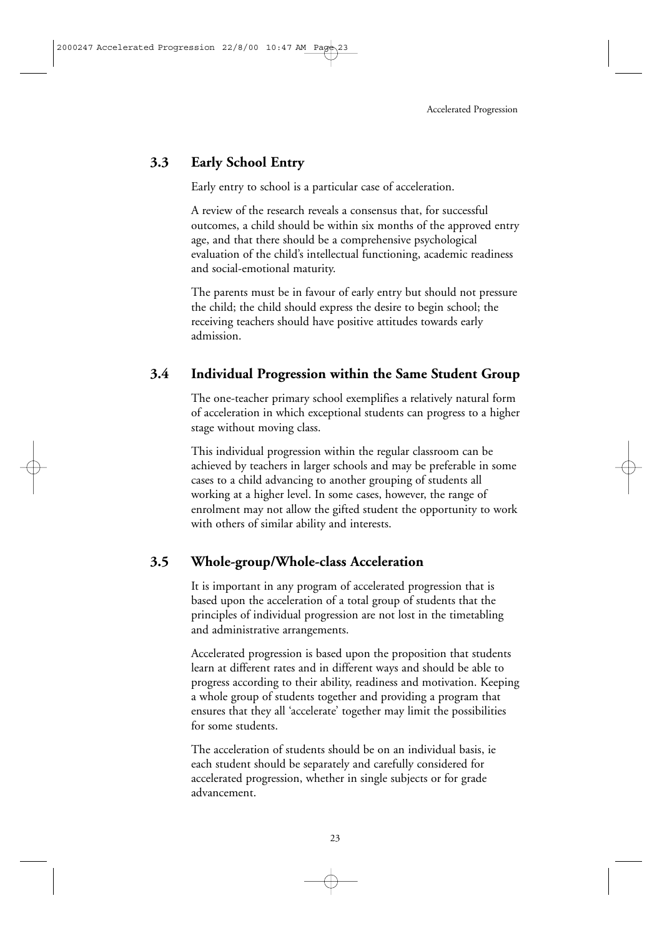## **3.3 Early School Entry**

Early entry to school is a particular case of acceleration.

A review of the research reveals a consensus that, for successful outcomes, a child should be within six months of the approved entry age, and that there should be a comprehensive psychological evaluation of the child's intellectual functioning, academic readiness and social-emotional maturity.

The parents must be in favour of early entry but should not pressure the child; the child should express the desire to begin school; the receiving teachers should have positive attitudes towards early admission.

## **3.4 Individual Progression within the Same Student Group**

The one-teacher primary school exemplifies a relatively natural form of acceleration in which exceptional students can progress to a higher stage without moving class.

This individual progression within the regular classroom can be achieved by teachers in larger schools and may be preferable in some cases to a child advancing to another grouping of students all working at a higher level. In some cases, however, the range of enrolment may not allow the gifted student the opportunity to work with others of similar ability and interests.

## **3.5 Whole-group/Whole-class Acceleration**

It is important in any program of accelerated progression that is based upon the acceleration of a total group of students that the principles of individual progression are not lost in the timetabling and administrative arrangements.

Accelerated progression is based upon the proposition that students learn at different rates and in different ways and should be able to progress according to their ability, readiness and motivation. Keeping a whole group of students together and providing a program that ensures that they all 'accelerate' together may limit the possibilities for some students.

The acceleration of students should be on an individual basis, ie each student should be separately and carefully considered for accelerated progression, whether in single subjects or for grade advancement.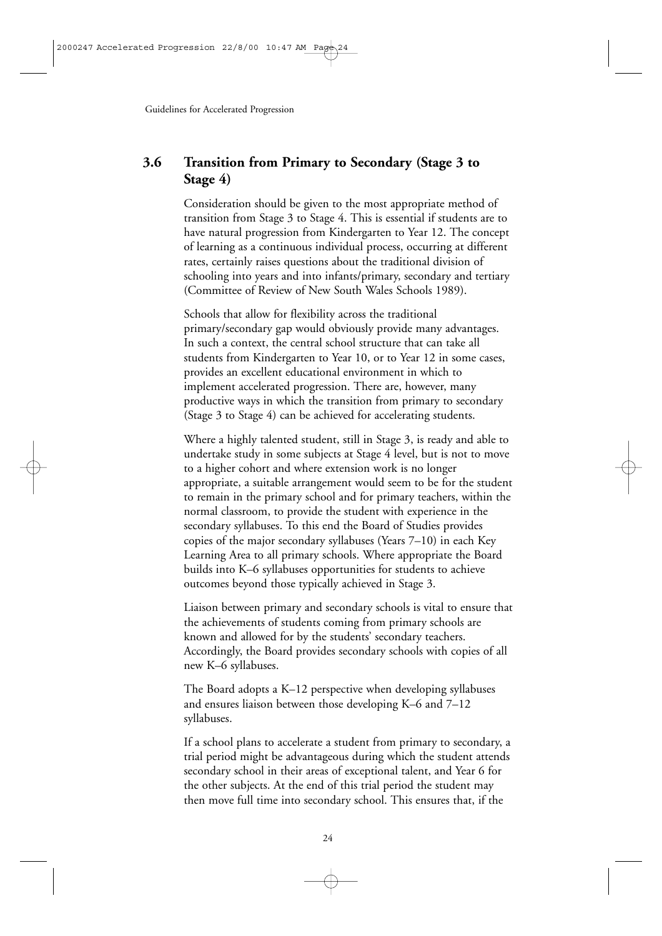## **3.6 Transition from Primary to Secondary (Stage 3 to Stage 4)**

Consideration should be given to the most appropriate method of transition from Stage 3 to Stage 4. This is essential if students are to have natural progression from Kindergarten to Year 12. The concept of learning as a continuous individual process, occurring at different rates, certainly raises questions about the traditional division of schooling into years and into infants/primary, secondary and tertiary (Committee of Review of New South Wales Schools 1989).

Schools that allow for flexibility across the traditional primary/secondary gap would obviously provide many advantages. In such a context, the central school structure that can take all students from Kindergarten to Year 10, or to Year 12 in some cases, provides an excellent educational environment in which to implement accelerated progression. There are, however, many productive ways in which the transition from primary to secondary (Stage 3 to Stage 4) can be achieved for accelerating students.

Where a highly talented student, still in Stage 3, is ready and able to undertake study in some subjects at Stage 4 level, but is not to move to a higher cohort and where extension work is no longer appropriate, a suitable arrangement would seem to be for the student to remain in the primary school and for primary teachers, within the normal classroom, to provide the student with experience in the secondary syllabuses. To this end the Board of Studies provides copies of the major secondary syllabuses (Years 7–10) in each Key Learning Area to all primary schools. Where appropriate the Board builds into K–6 syllabuses opportunities for students to achieve outcomes beyond those typically achieved in Stage 3.

Liaison between primary and secondary schools is vital to ensure that the achievements of students coming from primary schools are known and allowed for by the students' secondary teachers. Accordingly, the Board provides secondary schools with copies of all new K–6 syllabuses.

The Board adopts a K–12 perspective when developing syllabuses and ensures liaison between those developing K–6 and 7–12 syllabuses.

If a school plans to accelerate a student from primary to secondary, a trial period might be advantageous during which the student attends secondary school in their areas of exceptional talent, and Year 6 for the other subjects. At the end of this trial period the student may then move full time into secondary school. This ensures that, if the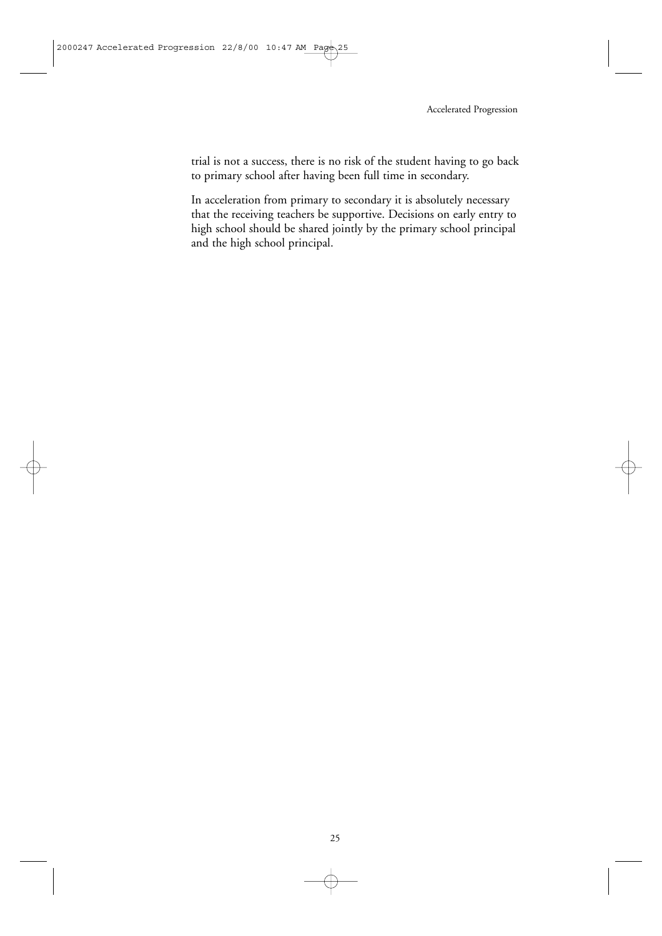trial is not a success, there is no risk of the student having to go back to primary school after having been full time in secondary.

In acceleration from primary to secondary it is absolutely necessary that the receiving teachers be supportive. Decisions on early entry to high school should be shared jointly by the primary school principal and the high school principal.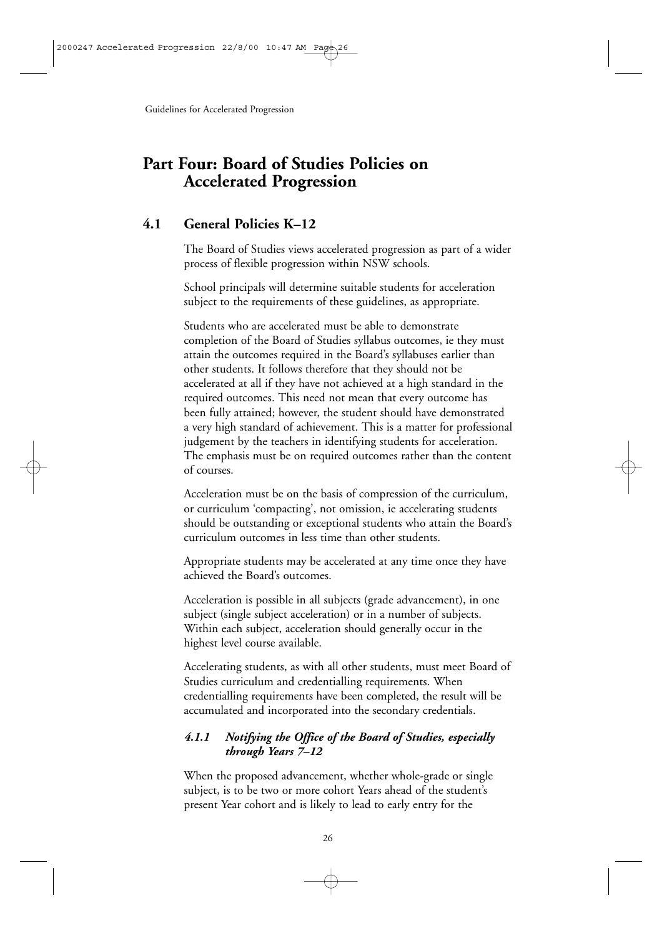## **Part Four: Board of Studies Policies on Accelerated Progression**

## **4.1 General Policies K–12**

The Board of Studies views accelerated progression as part of a wider process of flexible progression within NSW schools.

School principals will determine suitable students for acceleration subject to the requirements of these guidelines, as appropriate.

Students who are accelerated must be able to demonstrate completion of the Board of Studies syllabus outcomes, ie they must attain the outcomes required in the Board's syllabuses earlier than other students. It follows therefore that they should not be accelerated at all if they have not achieved at a high standard in the required outcomes. This need not mean that every outcome has been fully attained; however, the student should have demonstrated a very high standard of achievement. This is a matter for professional judgement by the teachers in identifying students for acceleration. The emphasis must be on required outcomes rather than the content of courses.

Acceleration must be on the basis of compression of the curriculum, or curriculum 'compacting', not omission, ie accelerating students should be outstanding or exceptional students who attain the Board's curriculum outcomes in less time than other students.

Appropriate students may be accelerated at any time once they have achieved the Board's outcomes.

Acceleration is possible in all subjects (grade advancement), in one subject (single subject acceleration) or in a number of subjects. Within each subject, acceleration should generally occur in the highest level course available.

Accelerating students, as with all other students, must meet Board of Studies curriculum and credentialling requirements. When credentialling requirements have been completed, the result will be accumulated and incorporated into the secondary credentials.

#### *4.1.1 Notifying the Office of the Board of Studies, especially through Years 7–12*

When the proposed advancement, whether whole-grade or single subject, is to be two or more cohort Years ahead of the student's present Year cohort and is likely to lead to early entry for the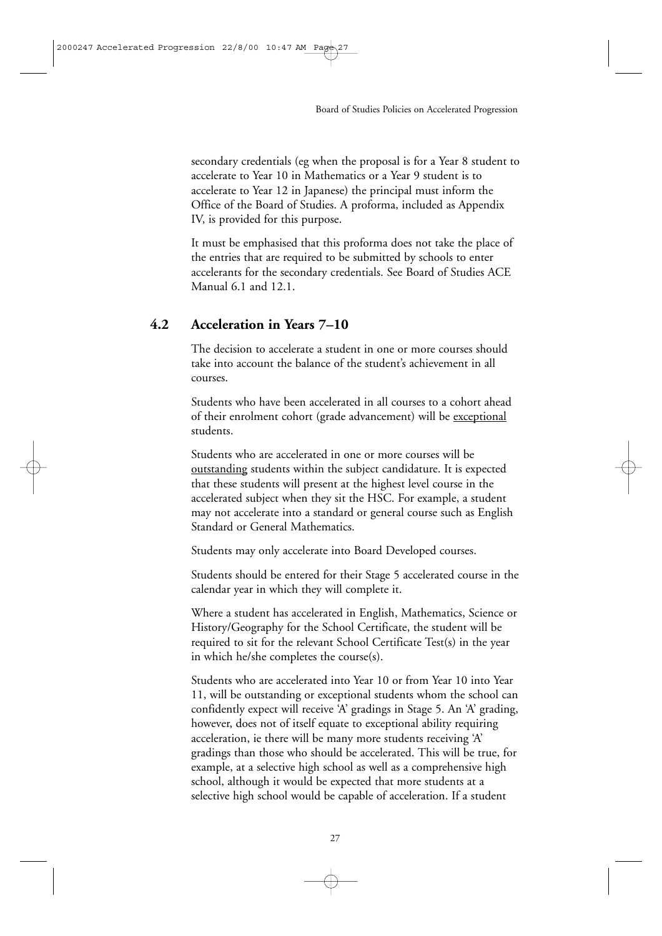secondary credentials (eg when the proposal is for a Year 8 student to accelerate to Year 10 in Mathematics or a Year 9 student is to accelerate to Year 12 in Japanese) the principal must inform the Office of the Board of Studies. A proforma, included as Appendix IV, is provided for this purpose.

It must be emphasised that this proforma does not take the place of the entries that are required to be submitted by schools to enter accelerants for the secondary credentials. See Board of Studies ACE Manual 6.1 and 12.1.

#### **4.2 Acceleration in Years 7–10**

The decision to accelerate a student in one or more courses should take into account the balance of the student's achievement in all courses.

Students who have been accelerated in all courses to a cohort ahead of their enrolment cohort (grade advancement) will be exceptional students.

Students who are accelerated in one or more courses will be outstanding students within the subject candidature. It is expected that these students will present at the highest level course in the accelerated subject when they sit the HSC. For example, a student may not accelerate into a standard or general course such as English Standard or General Mathematics.

Students may only accelerate into Board Developed courses.

Students should be entered for their Stage 5 accelerated course in the calendar year in which they will complete it.

Where a student has accelerated in English, Mathematics, Science or History/Geography for the School Certificate, the student will be required to sit for the relevant School Certificate Test(s) in the year in which he/she completes the course(s).

Students who are accelerated into Year 10 or from Year 10 into Year 11, will be outstanding or exceptional students whom the school can confidently expect will receive 'A' gradings in Stage 5. An 'A' grading, however, does not of itself equate to exceptional ability requiring acceleration, ie there will be many more students receiving 'A' gradings than those who should be accelerated. This will be true, for example, at a selective high school as well as a comprehensive high school, although it would be expected that more students at a selective high school would be capable of acceleration. If a student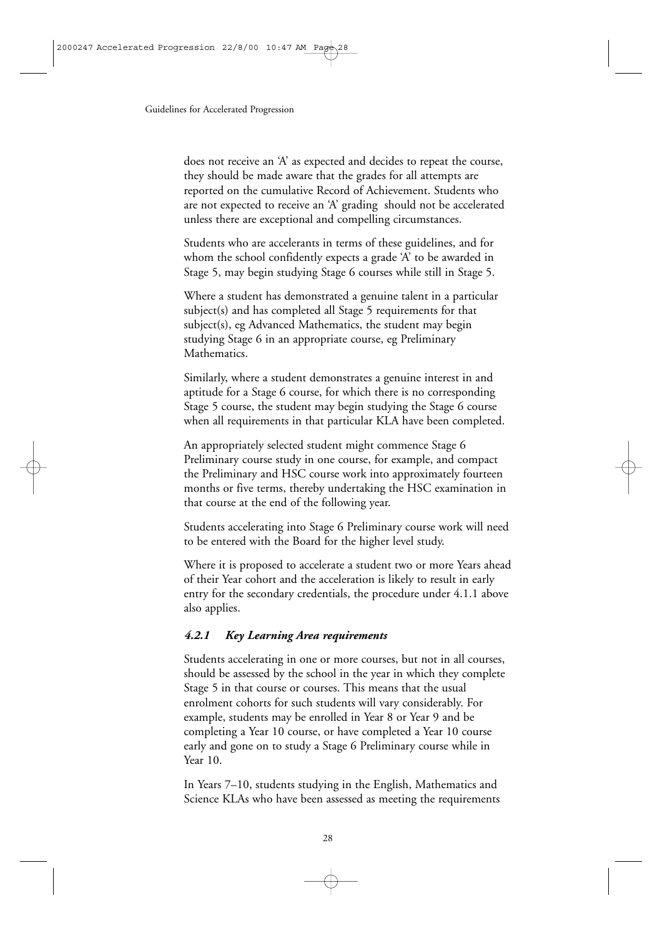does not receive an 'A' as expected and decides to repeat the course, they should be made aware that the grades for all attempts are reported on the cumulative Record of Achievement. Students who are not expected to receive an 'A' grading should not be accelerated unless there are exceptional and compelling circumstances.

Students who are accelerants in terms of these guidelines, and for whom the school confidently expects a grade 'A' to be awarded in Stage 5, may begin studying Stage 6 courses while still in Stage 5.

Where a student has demonstrated a genuine talent in a particular subject(s) and has completed all Stage 5 requirements for that subject(s), eg Advanced Mathematics, the student may begin studying Stage 6 in an appropriate course, eg Preliminary Mathematics.

Similarly, where a student demonstrates a genuine interest in and aptitude for a Stage 6 course, for which there is no corresponding Stage 5 course, the student may begin studying the Stage 6 course when all requirements in that particular KLA have been completed.

An appropriately selected student might commence Stage 6 Preliminary course study in one course, for example, and compact the Preliminary and HSC course work into approximately fourteen months or five terms, thereby undertaking the HSC examination in that course at the end of the following year.

Students accelerating into Stage 6 Preliminary course work will need to be entered with the Board for the higher level study.

Where it is proposed to accelerate a student two or more Years ahead of their Year cohort and the acceleration is likely to result in early entry for the secondary credentials, the procedure under 4.1.1 above also applies.

#### *4.2.1 Key Learning Area requirements*

Students accelerating in one or more courses, but not in all courses, should be assessed by the school in the year in which they complete Stage 5 in that course or courses. This means that the usual enrolment cohorts for such students will vary considerably. For example, students may be enrolled in Year 8 or Year 9 and be completing a Year 10 course, or have completed a Year 10 course early and gone on to study a Stage 6 Preliminary course while in Year 10.

In Years 7–10, students studying in the English, Mathematics and Science KLAs who have been assessed as meeting the requirements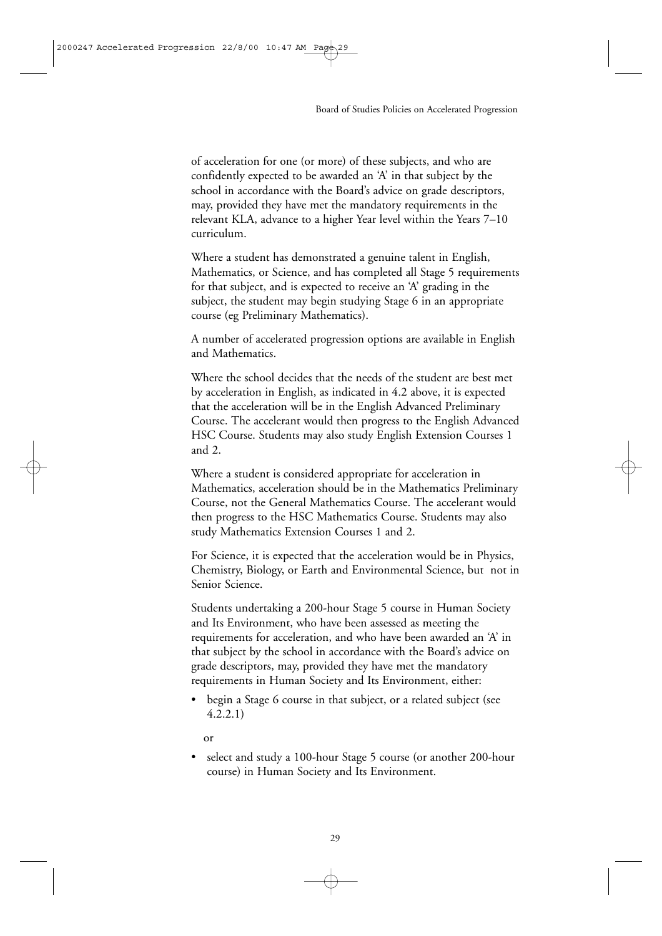of acceleration for one (or more) of these subjects, and who are confidently expected to be awarded an 'A' in that subject by the school in accordance with the Board's advice on grade descriptors, may, provided they have met the mandatory requirements in the relevant KLA, advance to a higher Year level within the Years 7–10 curriculum.

Where a student has demonstrated a genuine talent in English, Mathematics, or Science, and has completed all Stage 5 requirements for that subject, and is expected to receive an 'A' grading in the subject, the student may begin studying Stage 6 in an appropriate course (eg Preliminary Mathematics).

A number of accelerated progression options are available in English and Mathematics.

Where the school decides that the needs of the student are best met by acceleration in English, as indicated in 4.2 above, it is expected that the acceleration will be in the English Advanced Preliminary Course. The accelerant would then progress to the English Advanced HSC Course. Students may also study English Extension Courses 1 and 2.

Where a student is considered appropriate for acceleration in Mathematics, acceleration should be in the Mathematics Preliminary Course, not the General Mathematics Course. The accelerant would then progress to the HSC Mathematics Course. Students may also study Mathematics Extension Courses 1 and 2.

For Science, it is expected that the acceleration would be in Physics, Chemistry, Biology, or Earth and Environmental Science, but not in Senior Science.

Students undertaking a 200-hour Stage 5 course in Human Society and Its Environment, who have been assessed as meeting the requirements for acceleration, and who have been awarded an 'A' in that subject by the school in accordance with the Board's advice on grade descriptors, may, provided they have met the mandatory requirements in Human Society and Its Environment, either:

begin a Stage 6 course in that subject, or a related subject (see 4.2.2.1)

or

select and study a 100-hour Stage 5 course (or another 200-hour course) in Human Society and Its Environment.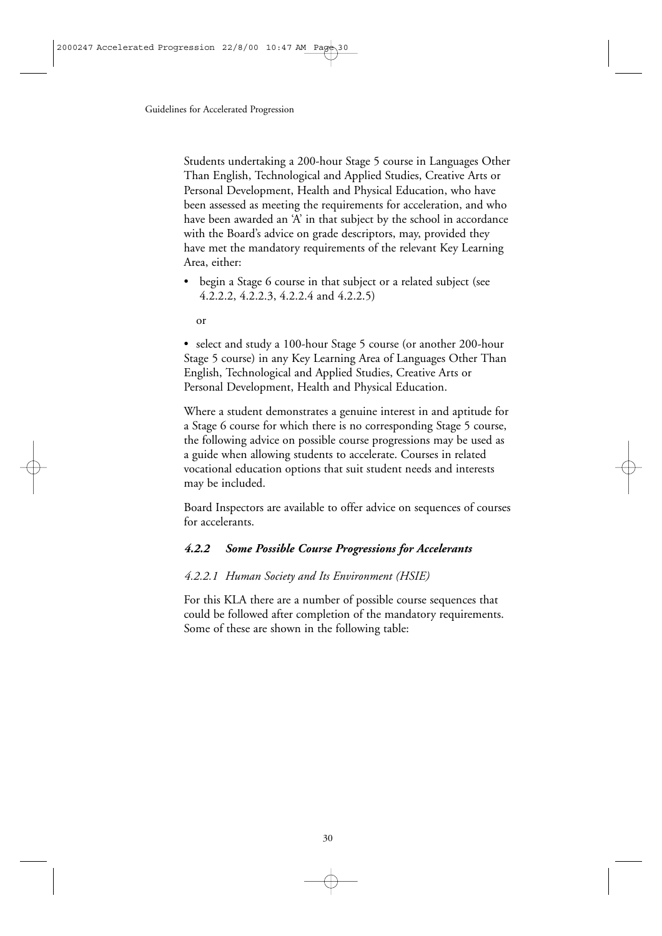Students undertaking a 200-hour Stage 5 course in Languages Other Than English, Technological and Applied Studies, Creative Arts or Personal Development, Health and Physical Education, who have been assessed as meeting the requirements for acceleration, and who have been awarded an 'A' in that subject by the school in accordance with the Board's advice on grade descriptors, may, provided they have met the mandatory requirements of the relevant Key Learning Area, either:

- begin a Stage 6 course in that subject or a related subject (see 4.2.2.2, 4.2.2.3, 4.2.2.4 and 4.2.2.5)
	- or

• select and study a 100-hour Stage 5 course (or another 200-hour Stage 5 course) in any Key Learning Area of Languages Other Than English, Technological and Applied Studies, Creative Arts or Personal Development, Health and Physical Education.

Where a student demonstrates a genuine interest in and aptitude for a Stage 6 course for which there is no corresponding Stage 5 course, the following advice on possible course progressions may be used as a guide when allowing students to accelerate. Courses in related vocational education options that suit student needs and interests may be included.

Board Inspectors are available to offer advice on sequences of courses for accelerants.

#### *4.2.2 Some Possible Course Progressions for Accelerants*

#### *4.2.2.1 Human Society and Its Environment (HSIE)*

For this KLA there are a number of possible course sequences that could be followed after completion of the mandatory requirements. Some of these are shown in the following table: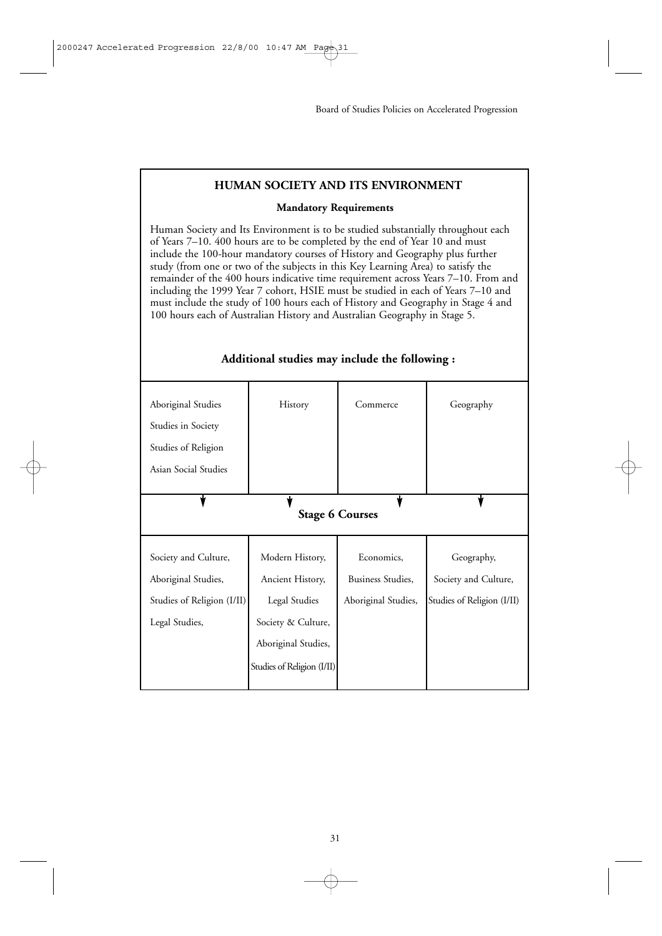#### **HUMAN SOCIETY AND ITS ENVIRONMENT**

#### **Mandatory Requirements**

Human Society and Its Environment is to be studied substantially throughout each of Years 7–10. 400 hours are to be completed by the end of Year 10 and must include the 100-hour mandatory courses of History and Geography plus further study (from one or two of the subjects in this Key Learning Area) to satisfy the remainder of the 400 hours indicative time requirement across Years 7–10. From and including the 1999 Year 7 cohort, HSIE must be studied in each of Years 7–10 and must include the study of 100 hours each of History and Geography in Stage 4 and 100 hours each of Australian History and Australian Geography in Stage 5.

## Aboriginal Studies | History | Commerce | Geography Studies in Society Studies of Religion Asian Social Studies v **Stage 6 Courses** Society and Culture, Modern History, Economics, Geography, Aboriginal Studies, Ancient History, Business Studies, Society and Culture, Studies of Religion (I/II) Legal Studies | Aboriginal Studies, Studies of Religion (I/II) Legal Studies, Society & Culture, Aboriginal Studies, Studies of Religion (I/II)

#### **Additional studies may include the following :**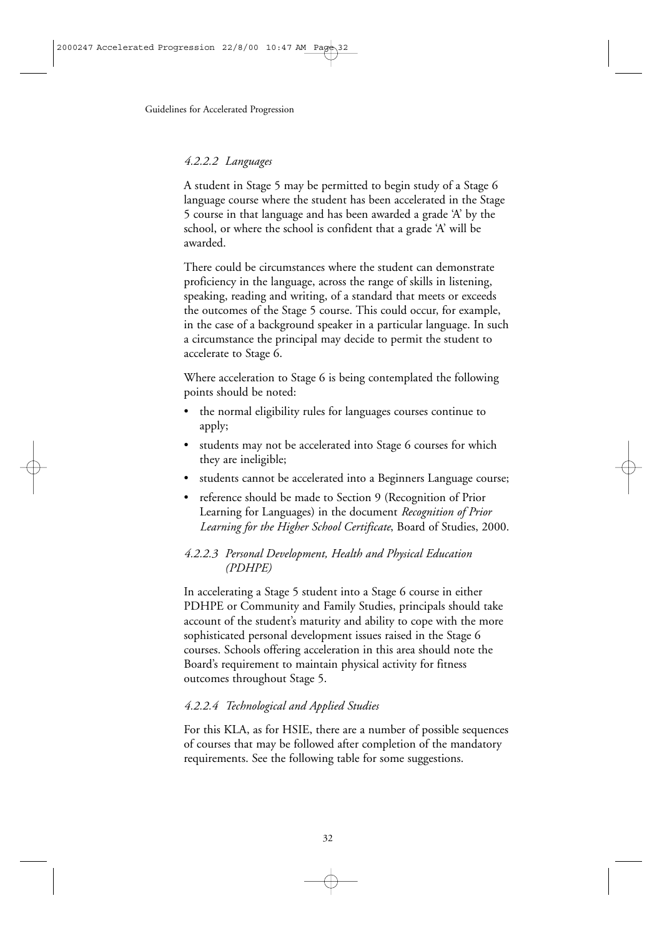#### *4.2.2.2 Languages*

A student in Stage 5 may be permitted to begin study of a Stage 6 language course where the student has been accelerated in the Stage 5 course in that language and has been awarded a grade 'A' by the school, or where the school is confident that a grade 'A' will be awarded.

There could be circumstances where the student can demonstrate proficiency in the language, across the range of skills in listening, speaking, reading and writing, of a standard that meets or exceeds the outcomes of the Stage 5 course. This could occur, for example, in the case of a background speaker in a particular language. In such a circumstance the principal may decide to permit the student to accelerate to Stage 6.

Where acceleration to Stage 6 is being contemplated the following points should be noted:

- the normal eligibility rules for languages courses continue to apply;
- students may not be accelerated into Stage 6 courses for which they are ineligible;
- students cannot be accelerated into a Beginners Language course;
- reference should be made to Section 9 (Recognition of Prior Learning for Languages) in the document *Recognition of Prior Learning for the Higher School Certificate*, Board of Studies, 2000.

#### *4.2.2.3 Personal Development, Health and Physical Education (PDHPE)*

In accelerating a Stage 5 student into a Stage 6 course in either PDHPE or Community and Family Studies, principals should take account of the student's maturity and ability to cope with the more sophisticated personal development issues raised in the Stage 6 courses. Schools offering acceleration in this area should note the Board's requirement to maintain physical activity for fitness outcomes throughout Stage 5.

#### *4.2.2.4 Technological and Applied Studies*

For this KLA, as for HSIE, there are a number of possible sequences of courses that may be followed after completion of the mandatory requirements. See the following table for some suggestions.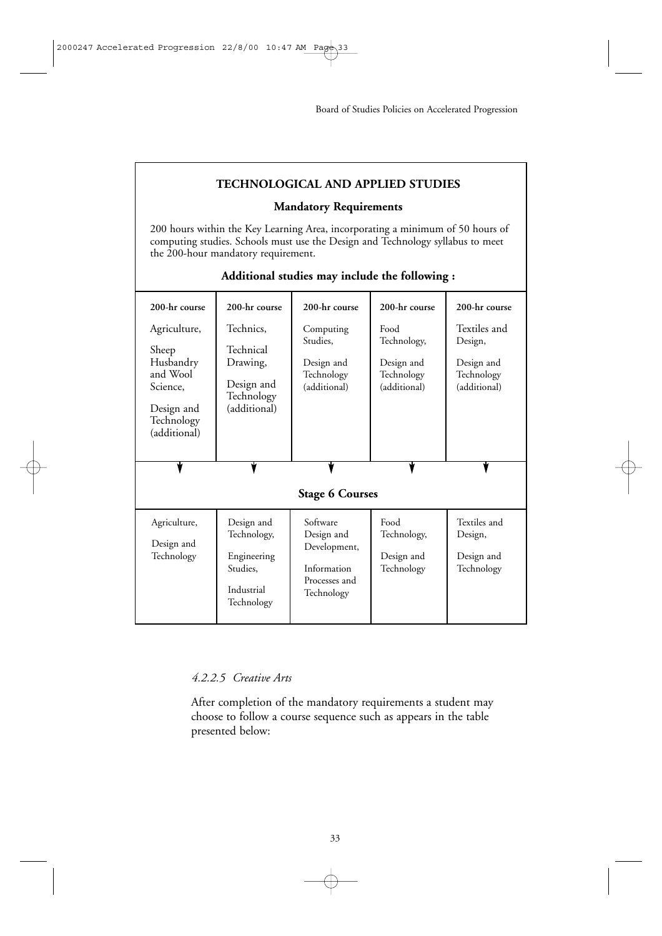#### **TECHNOLOGICAL AND APPLIED STUDIES**

#### **Mandatory Requirements**

200 hours within the Key Learning Area, incorporating a minimum of 50 hours of computing studies. Schools must use the Design and Technology syllabus to meet the 200-hour mandatory requirement.

| 200-hr course                                                                                          | 200-hr course                                                                  | 200-hr course                                                                        | 200-hr course                                                   | 200-hr course                                                       |
|--------------------------------------------------------------------------------------------------------|--------------------------------------------------------------------------------|--------------------------------------------------------------------------------------|-----------------------------------------------------------------|---------------------------------------------------------------------|
| Agriculture,<br>Sheep<br>Husbandry<br>and Wool<br>Science,<br>Design and<br>Technology<br>(additional) | Technics,<br>Technical<br>Drawing,<br>Design and<br>Technology<br>(additional) | Computing<br>Studies,<br>Design and<br>Technology<br>(additional)                    | Food<br>Technology,<br>Design and<br>Technology<br>(additional) | Textiles and<br>Design,<br>Design and<br>Technology<br>(additional) |
|                                                                                                        |                                                                                |                                                                                      |                                                                 |                                                                     |
|                                                                                                        |                                                                                | <b>Stage 6 Courses</b>                                                               |                                                                 |                                                                     |
| Agriculture,<br>Design and<br>Technology                                                               | Design and<br>Technology,<br>Engineering<br>Studies.<br>Industrial             | Software<br>Design and<br>Development,<br>Information<br>Processes and<br>Technology | Food<br>Technology,<br>Design and<br>Technology                 | Textiles and<br>Design,<br>Design and<br>Technology                 |

#### **Additional studies may include the following :**

#### *4.2.2.5 Creative Arts*

After completion of the mandatory requirements a student may choose to follow a course sequence such as appears in the table presented below: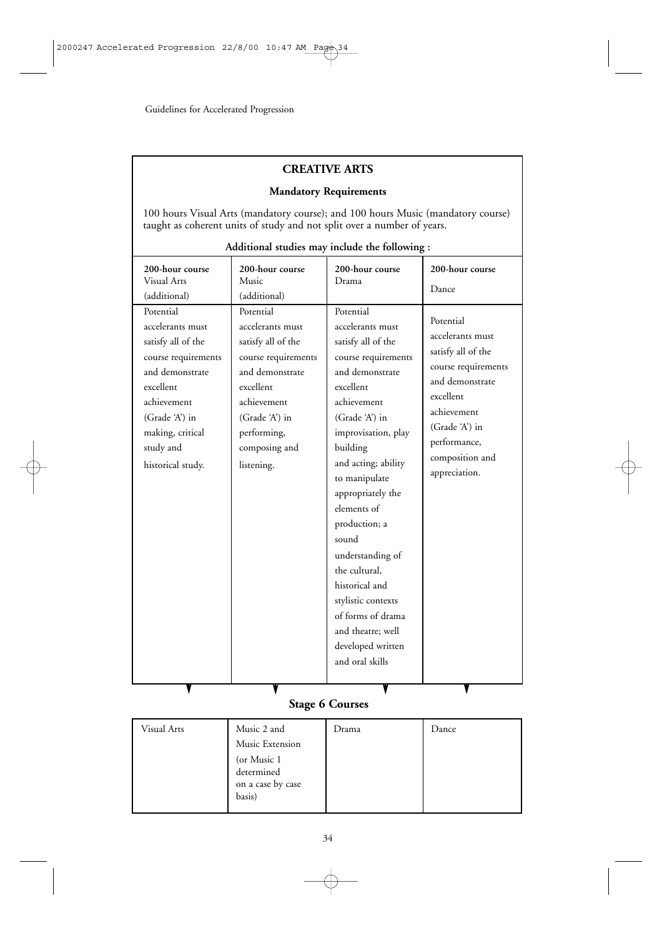#### **CREATIVE ARTS**

#### **Mandatory Requirements**

100 hours Visual Arts (mandatory course); and 100 hours Music (mandatory course) taught as coherent units of study and not split over a number of years.

| 200-hour course<br><b>Visual Arts</b><br>(additional)<br>Potential<br>accelerants must<br>satisfy all of the<br>course requirements<br>and demonstrate<br>excellent<br>achievement<br>(Grade 'A') in<br>making, critical<br>study and<br>historical study. | 200-hour course<br>Music<br>(additional)<br>Potential<br>accelerants must<br>satisfy all of the<br>course requirements<br>and demonstrate<br>excellent<br>achievement<br>(Grade 'A') in<br>performing,<br>composing and<br>listening. | 200-hour course<br>Drama<br>Potential<br>accelerants must<br>satisfy all of the<br>course requirements<br>and demonstrate<br>excellent<br>achievement<br>(Grade 'A') in<br>improvisation, play<br>building<br>and acting; ability<br>to manipulate<br>appropriately the<br>elements of<br>production; a<br>sound<br>understanding of<br>the cultural.<br>historical and<br>stylistic contexts<br>of forms of drama | 200-hour course<br>Dance<br>Potential<br>accelerants must<br>satisfy all of the<br>course requirements<br>and demonstrate<br>excellent<br>achievement<br>(Grade 'A') in<br>performance,<br>composition and<br>appreciation. |
|------------------------------------------------------------------------------------------------------------------------------------------------------------------------------------------------------------------------------------------------------------|---------------------------------------------------------------------------------------------------------------------------------------------------------------------------------------------------------------------------------------|--------------------------------------------------------------------------------------------------------------------------------------------------------------------------------------------------------------------------------------------------------------------------------------------------------------------------------------------------------------------------------------------------------------------|-----------------------------------------------------------------------------------------------------------------------------------------------------------------------------------------------------------------------------|
|                                                                                                                                                                                                                                                            |                                                                                                                                                                                                                                       | and theatre; well<br>developed written                                                                                                                                                                                                                                                                                                                                                                             |                                                                                                                                                                                                                             |
|                                                                                                                                                                                                                                                            |                                                                                                                                                                                                                                       | and oral skills                                                                                                                                                                                                                                                                                                                                                                                                    |                                                                                                                                                                                                                             |

#### **Additional studies may include the following :**

## **Stage 6 Courses**

| Visual Arts | Music 2 and                                              | Drama | Dance |
|-------------|----------------------------------------------------------|-------|-------|
|             | Music Extension                                          |       |       |
|             | (or Music 1<br>determined<br>on a case by case<br>basis) |       |       |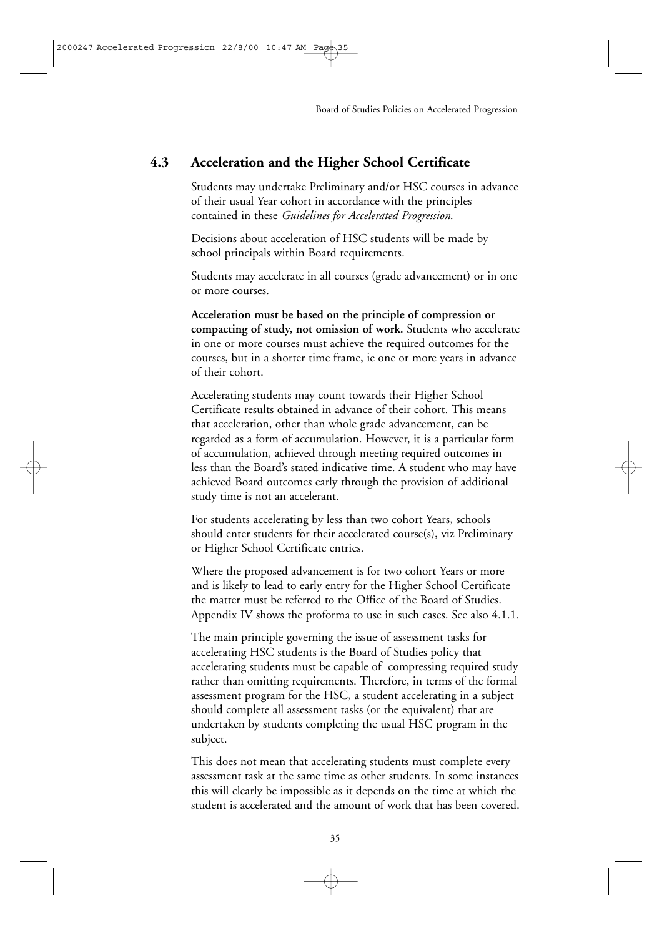## **4.3 Acceleration and the Higher School Certificate**

Students may undertake Preliminary and/or HSC courses in advance of their usual Year cohort in accordance with the principles contained in these *Guidelines for Accelerated Progression*.

Decisions about acceleration of HSC students will be made by school principals within Board requirements.

Students may accelerate in all courses (grade advancement) or in one or more courses.

**Acceleration must be based on the principle of compression or compacting of study, not omission of work.** Students who accelerate in one or more courses must achieve the required outcomes for the courses, but in a shorter time frame, ie one or more years in advance of their cohort.

Accelerating students may count towards their Higher School Certificate results obtained in advance of their cohort. This means that acceleration, other than whole grade advancement, can be regarded as a form of accumulation. However, it is a particular form of accumulation, achieved through meeting required outcomes in less than the Board's stated indicative time. A student who may have achieved Board outcomes early through the provision of additional study time is not an accelerant.

For students accelerating by less than two cohort Years, schools should enter students for their accelerated course(s), viz Preliminary or Higher School Certificate entries.

Where the proposed advancement is for two cohort Years or more and is likely to lead to early entry for the Higher School Certificate the matter must be referred to the Office of the Board of Studies. Appendix IV shows the proforma to use in such cases. See also 4.1.1.

The main principle governing the issue of assessment tasks for accelerating HSC students is the Board of Studies policy that accelerating students must be capable of compressing required study rather than omitting requirements. Therefore, in terms of the formal assessment program for the HSC, a student accelerating in a subject should complete all assessment tasks (or the equivalent) that are undertaken by students completing the usual HSC program in the subject.

This does not mean that accelerating students must complete every assessment task at the same time as other students. In some instances this will clearly be impossible as it depends on the time at which the student is accelerated and the amount of work that has been covered.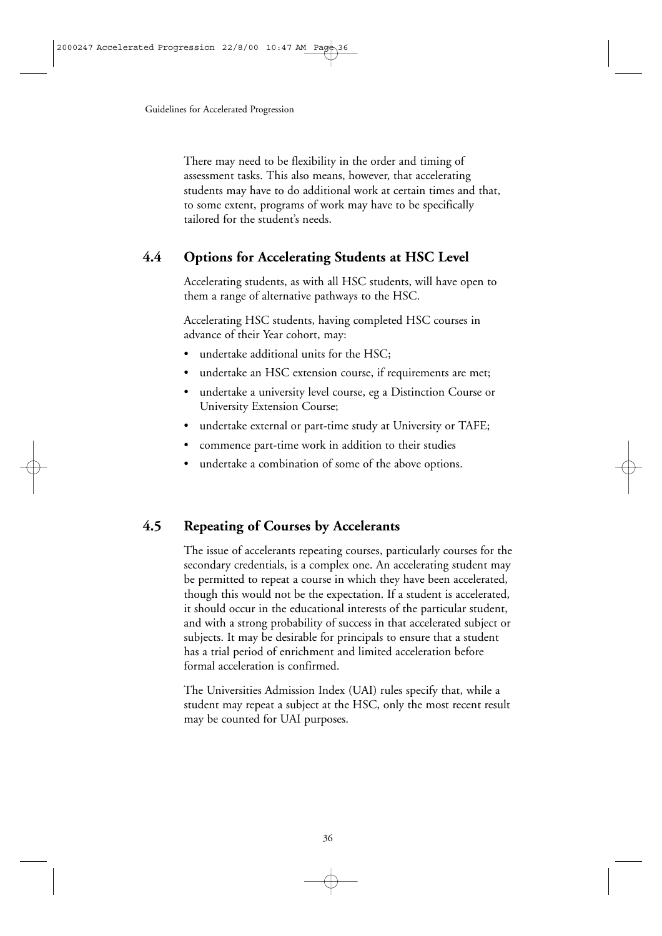There may need to be flexibility in the order and timing of assessment tasks. This also means, however, that accelerating students may have to do additional work at certain times and that, to some extent, programs of work may have to be specifically tailored for the student's needs.

## **4.4 Options for Accelerating Students at HSC Level**

Accelerating students, as with all HSC students, will have open to them a range of alternative pathways to the HSC.

Accelerating HSC students, having completed HSC courses in advance of their Year cohort, may:

- undertake additional units for the HSC:
- undertake an HSC extension course, if requirements are met;
- undertake a university level course, eg a Distinction Course or University Extension Course;
- undertake external or part-time study at University or TAFE;
- commence part-time work in addition to their studies
- undertake a combination of some of the above options.

## **4.5 Repeating of Courses by Accelerants**

The issue of accelerants repeating courses, particularly courses for the secondary credentials, is a complex one. An accelerating student may be permitted to repeat a course in which they have been accelerated, though this would not be the expectation. If a student is accelerated, it should occur in the educational interests of the particular student, and with a strong probability of success in that accelerated subject or subjects. It may be desirable for principals to ensure that a student has a trial period of enrichment and limited acceleration before formal acceleration is confirmed.

The Universities Admission Index (UAI) rules specify that, while a student may repeat a subject at the HSC, only the most recent result may be counted for UAI purposes.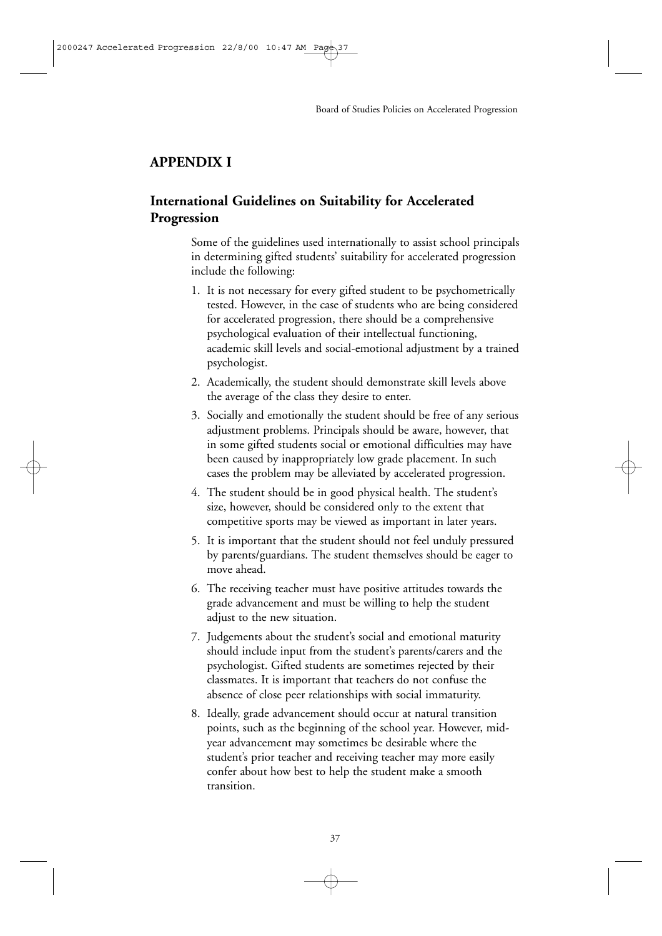#### **APPENDIX I**

## **International Guidelines on Suitability for Accelerated Progression**

Some of the guidelines used internationally to assist school principals in determining gifted students' suitability for accelerated progression include the following:

- 1. It is not necessary for every gifted student to be psychometrically tested. However, in the case of students who are being considered for accelerated progression, there should be a comprehensive psychological evaluation of their intellectual functioning, academic skill levels and social-emotional adjustment by a trained psychologist.
- 2. Academically, the student should demonstrate skill levels above the average of the class they desire to enter.
- 3. Socially and emotionally the student should be free of any serious adjustment problems. Principals should be aware, however, that in some gifted students social or emotional difficulties may have been caused by inappropriately low grade placement. In such cases the problem may be alleviated by accelerated progression.
- 4. The student should be in good physical health. The student's size, however, should be considered only to the extent that competitive sports may be viewed as important in later years.
- 5. It is important that the student should not feel unduly pressured by parents/guardians. The student themselves should be eager to move ahead.
- 6. The receiving teacher must have positive attitudes towards the grade advancement and must be willing to help the student adjust to the new situation.
- 7. Judgements about the student's social and emotional maturity should include input from the student's parents/carers and the psychologist. Gifted students are sometimes rejected by their classmates. It is important that teachers do not confuse the absence of close peer relationships with social immaturity.
- 8. Ideally, grade advancement should occur at natural transition points, such as the beginning of the school year. However, midyear advancement may sometimes be desirable where the student's prior teacher and receiving teacher may more easily confer about how best to help the student make a smooth transition.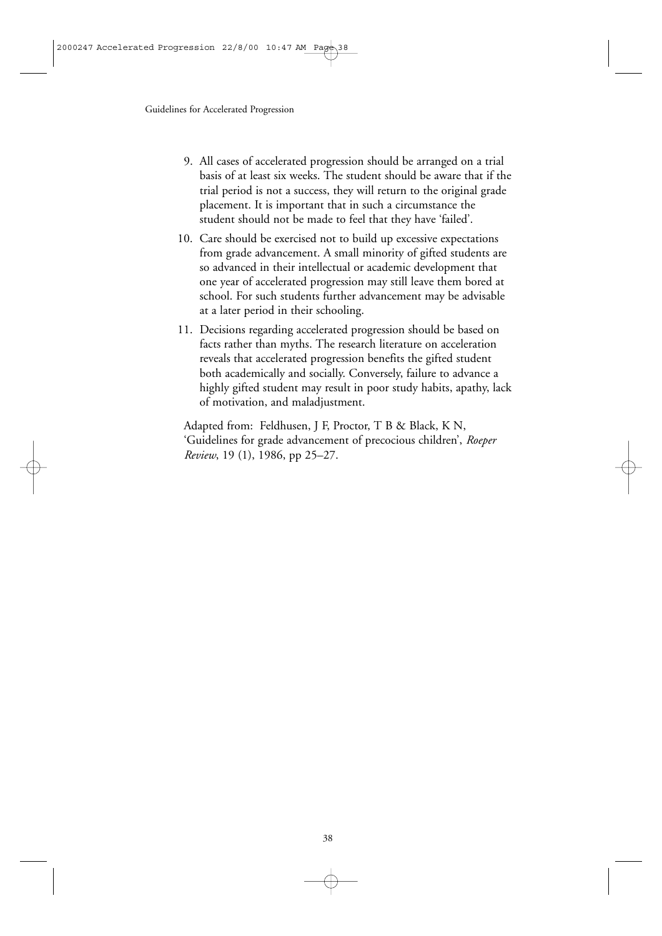- 9. All cases of accelerated progression should be arranged on a trial basis of at least six weeks. The student should be aware that if the trial period is not a success, they will return to the original grade placement. It is important that in such a circumstance the student should not be made to feel that they have 'failed'.
- 10. Care should be exercised not to build up excessive expectations from grade advancement. A small minority of gifted students are so advanced in their intellectual or academic development that one year of accelerated progression may still leave them bored at school. For such students further advancement may be advisable at a later period in their schooling.
- 11. Decisions regarding accelerated progression should be based on facts rather than myths. The research literature on acceleration reveals that accelerated progression benefits the gifted student both academically and socially. Conversely, failure to advance a highly gifted student may result in poor study habits, apathy, lack of motivation, and maladjustment.

Adapted from: Feldhusen, J F, Proctor, T B & Black, K N, 'Guidelines for grade advancement of precocious children', *Roeper Review*, 19 (1), 1986, pp 25–27.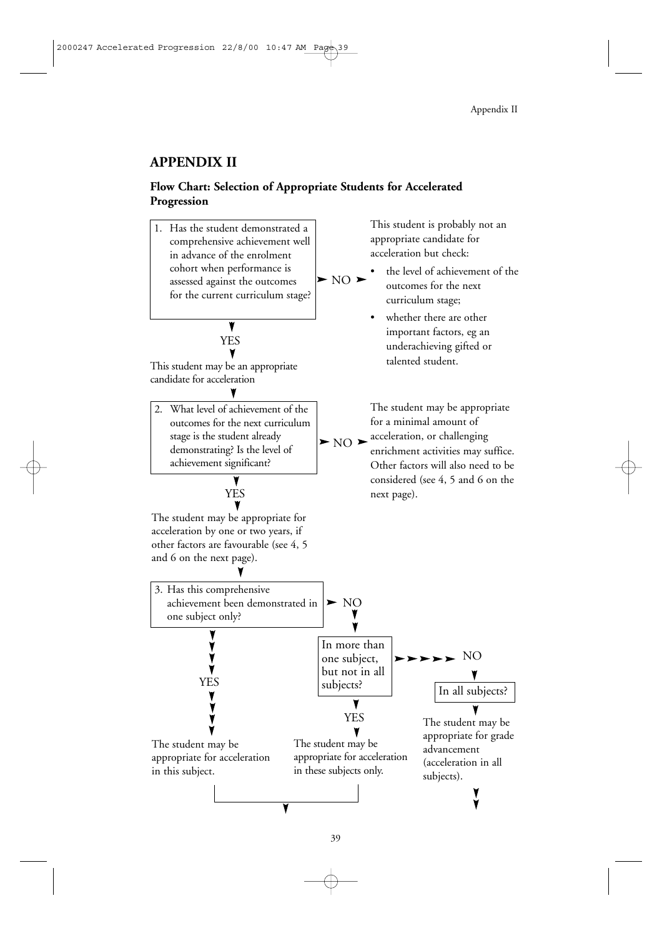## **APPENDIX II**

#### **Flow Chart: Selection of Appropriate Students for Accelerated Progression**

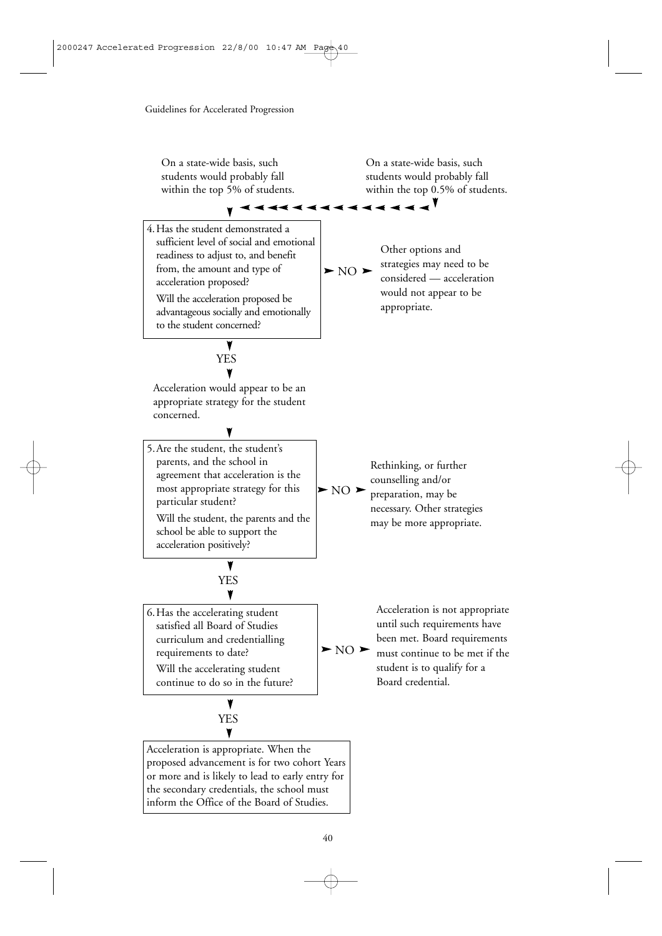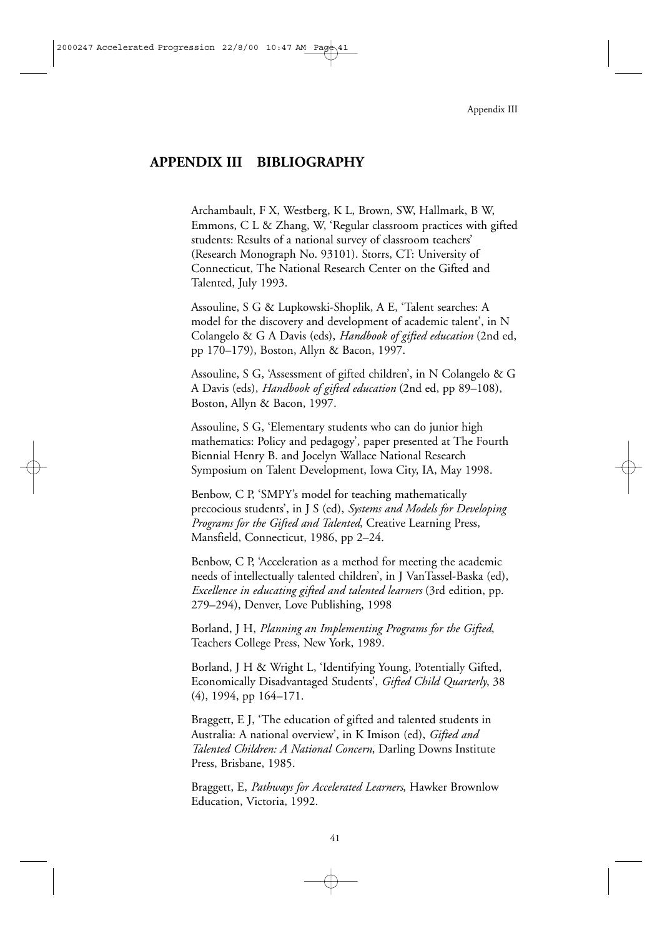#### **APPENDIX III BIBLIOGRAPHY**

Archambault, F X, Westberg, K L, Brown, SW, Hallmark, B W, Emmons, C L & Zhang, W, 'Regular classroom practices with gifted students: Results of a national survey of classroom teachers' (Research Monograph No. 93101). Storrs, CT: University of Connecticut, The National Research Center on the Gifted and Talented, July 1993.

Assouline, S G & Lupkowski-Shoplik, A E, 'Talent searches: A model for the discovery and development of academic talent', in N Colangelo & G A Davis (eds), *Handbook of gifted education* (2nd ed, pp 170–179), Boston, Allyn & Bacon, 1997.

Assouline, S G, 'Assessment of gifted children', in N Colangelo & G A Davis (eds), *Handbook of gifted education* (2nd ed, pp 89–108), Boston, Allyn & Bacon, 1997.

Assouline, S G, 'Elementary students who can do junior high mathematics: Policy and pedagogy', paper presented at The Fourth Biennial Henry B. and Jocelyn Wallace National Research Symposium on Talent Development, Iowa City, IA, May 1998.

Benbow, C P, 'SMPY's model for teaching mathematically precocious students', in J S (ed), *Systems and Models for Developing Programs for the Gifted and Talented*, Creative Learning Press, Mansfield, Connecticut, 1986, pp 2–24.

Benbow, C P, 'Acceleration as a method for meeting the academic needs of intellectually talented children', in J VanTassel-Baska (ed), *Excellence in educating gifted and talented learners* (3rd edition, pp. 279–294), Denver, Love Publishing, 1998

Borland, J H, *Planning an Implementing Programs for the Gifted*, Teachers College Press, New York, 1989.

Borland, J H & Wright L, 'Identifying Young, Potentially Gifted, Economically Disadvantaged Students', *Gifted Child Quarterly*, 38 (4), 1994, pp 164–171.

Braggett, E J, 'The education of gifted and talented students in Australia: A national overview', in K Imison (ed), *Gifted and Talented Children: A National Concern*, Darling Downs Institute Press, Brisbane, 1985.

Braggett, E, *Pathways for Accelerated Learners*, Hawker Brownlow Education, Victoria, 1992.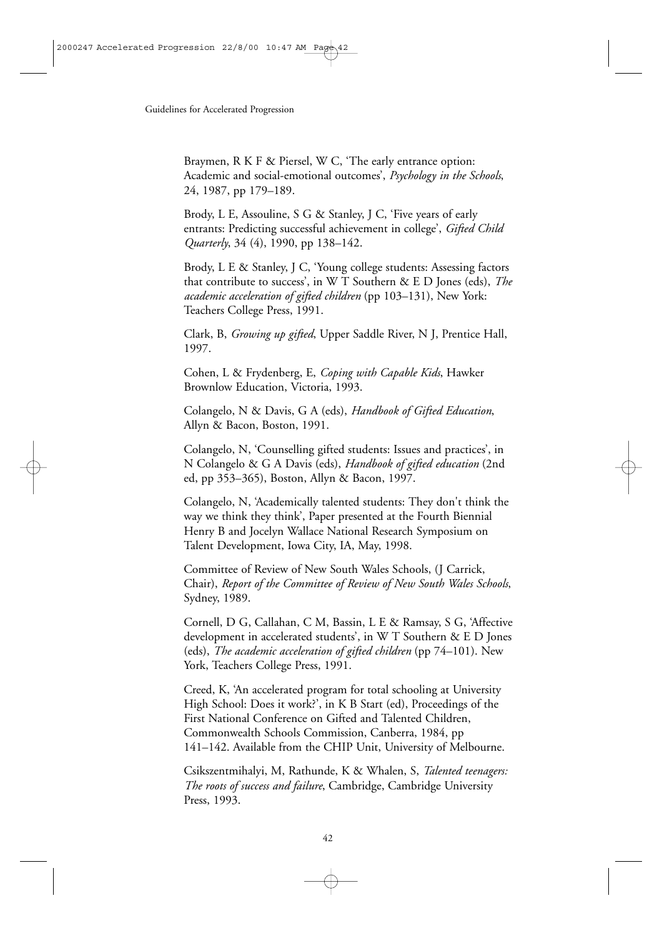Braymen, R K F & Piersel, W C, 'The early entrance option: Academic and social-emotional outcomes', *Psychology in the Schools*, 24, 1987, pp 179–189.

Brody, L E, Assouline, S G & Stanley, J C, 'Five years of early entrants: Predicting successful achievement in college', *Gifted Child Quarterly*, 34 (4), 1990, pp 138–142.

Brody, L E & Stanley, J C, 'Young college students: Assessing factors that contribute to success', in W T Southern & E D Jones (eds), *The academic acceleration of gifted children* (pp 103–131), New York: Teachers College Press, 1991.

Clark, B, *Growing up gifted*, Upper Saddle River, N J, Prentice Hall, 1997.

Cohen, L & Frydenberg, E, *Coping with Capable Kids*, Hawker Brownlow Education, Victoria, 1993.

Colangelo, N & Davis, G A (eds), *Handbook of Gifted Education*, Allyn & Bacon, Boston, 1991.

Colangelo, N, 'Counselling gifted students: Issues and practices', in N Colangelo & G A Davis (eds), *Handbook of gifted education* (2nd ed, pp 353–365), Boston, Allyn & Bacon, 1997.

Colangelo, N, 'Academically talented students: They don't think the way we think they think', Paper presented at the Fourth Biennial Henry B and Jocelyn Wallace National Research Symposium on Talent Development, Iowa City, IA, May, 1998.

Committee of Review of New South Wales Schools, (J Carrick, Chair), *Report of the Committee of Review of New South Wales Schools*, Sydney, 1989.

Cornell, D G, Callahan, C M, Bassin, L E & Ramsay, S G, 'Affective development in accelerated students', in W T Southern & E D Jones (eds), *The academic acceleration of gifted children* (pp 74–101). New York, Teachers College Press, 1991.

Creed, K, 'An accelerated program for total schooling at University High School: Does it work?', in K B Start (ed), Proceedings of the First National Conference on Gifted and Talented Children, Commonwealth Schools Commission, Canberra, 1984, pp 141–142. Available from the CHIP Unit, University of Melbourne.

Csikszentmihalyi, M, Rathunde, K & Whalen, S, *Talented teenagers: The roots of success and failure*, Cambridge, Cambridge University Press, 1993.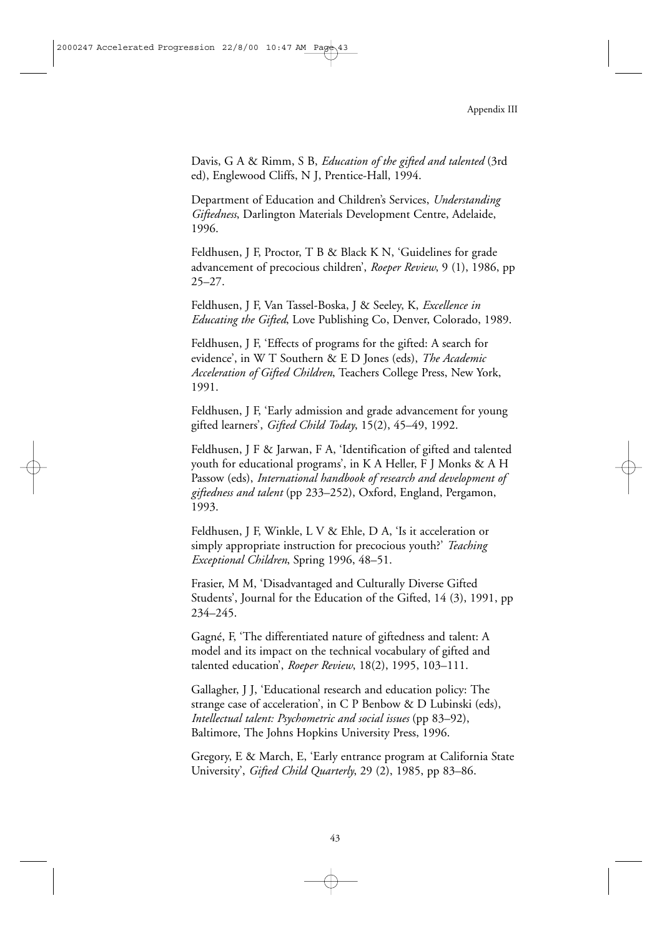Davis, G A & Rimm, S B, *Education of the gifted and talented* (3rd ed), Englewood Cliffs, N J, Prentice-Hall, 1994.

Department of Education and Children's Services, *Understanding Giftedness*, Darlington Materials Development Centre, Adelaide, 1996.

Feldhusen, J F, Proctor, T B & Black K N, 'Guidelines for grade advancement of precocious children', *Roeper Review*, 9 (1), 1986, pp 25–27.

Feldhusen, J F, Van Tassel-Boska, J & Seeley, K, *Excellence in Educating the Gifted*, Love Publishing Co, Denver, Colorado, 1989.

Feldhusen, J F, 'Effects of programs for the gifted: A search for evidence', in W T Southern & E D Jones (eds), *The Academic Acceleration of Gifted Children*, Teachers College Press, New York, 1991.

Feldhusen, J F, 'Early admission and grade advancement for young gifted learners', *Gifted Child Today*, 15(2), 45–49, 1992.

Feldhusen, J F & Jarwan, F A, 'Identification of gifted and talented youth for educational programs', in K A Heller, F J Monks & A H Passow (eds), *International handbook of research and development of giftedness and talent* (pp 233–252), Oxford, England, Pergamon, 1993.

Feldhusen, J F, Winkle, L V & Ehle, D A, 'Is it acceleration or simply appropriate instruction for precocious youth?' *Teaching Exceptional Children*, Spring 1996, 48–51.

Frasier, M M, 'Disadvantaged and Culturally Diverse Gifted Students', Journal for the Education of the Gifted, 14 (3), 1991, pp 234–245.

Gagné, F, 'The differentiated nature of giftedness and talent: A model and its impact on the technical vocabulary of gifted and talented education', *Roeper Review*, 18(2), 1995, 103–111.

Gallagher, J J, 'Educational research and education policy: The strange case of acceleration', in C P Benbow & D Lubinski (eds), *Intellectual talent: Psychometric and social issues* (pp 83–92), Baltimore, The Johns Hopkins University Press, 1996.

Gregory, E & March, E, 'Early entrance program at California State University', *Gifted Child Quarterly*, 29 (2), 1985, pp 83–86.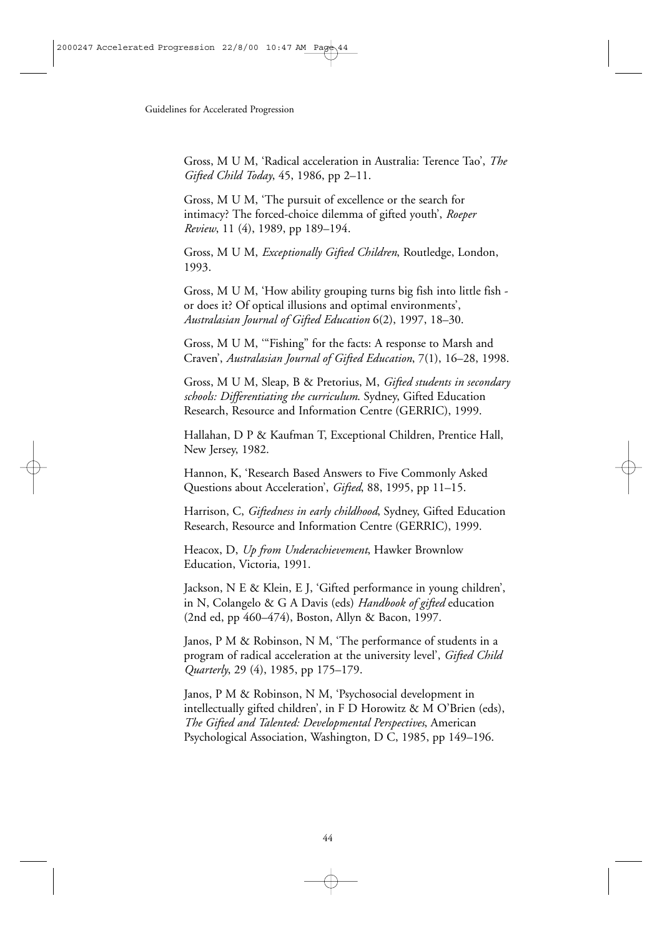Gross, M U M, 'Radical acceleration in Australia: Terence Tao', *The Gifted Child Today*, 45, 1986, pp 2–11.

Gross, M U M, 'The pursuit of excellence or the search for intimacy? The forced-choice dilemma of gifted youth', *Roeper Review*, 11 (4), 1989, pp 189–194.

Gross, M U M, *Exceptionally Gifted Children*, Routledge, London, 1993.

Gross, M U M, 'How ability grouping turns big fish into little fish or does it? Of optical illusions and optimal environments', *Australasian Journal of Gifted Education* 6(2), 1997, 18–30.

Gross, M U M, '"Fishing" for the facts: A response to Marsh and Craven', *Australasian Journal of Gifted Education*, 7(1), 16–28, 1998.

Gross, M U M, Sleap, B & Pretorius, M, *Gifted students in secondary schools: Differentiating the curriculum*. Sydney, Gifted Education Research, Resource and Information Centre (GERRIC), 1999.

Hallahan, D P & Kaufman T, Exceptional Children, Prentice Hall, New Jersey, 1982.

Hannon, K, 'Research Based Answers to Five Commonly Asked Questions about Acceleration', *Gifted*, 88, 1995, pp 11–15.

Harrison, C, *Giftedness in early childhood*, Sydney, Gifted Education Research, Resource and Information Centre (GERRIC), 1999.

Heacox, D, *Up from Underachievement*, Hawker Brownlow Education, Victoria, 1991.

Jackson, N E & Klein, E J, 'Gifted performance in young children', in N, Colangelo & G A Davis (eds) *Handbook of gifted* education (2nd ed, pp 460–474), Boston, Allyn & Bacon, 1997.

Janos, P M & Robinson, N M, 'The performance of students in a program of radical acceleration at the university level', *Gifted Child Quarterly*, 29 (4), 1985, pp 175–179.

Janos, P M & Robinson, N M, 'Psychosocial development in intellectually gifted children', in F D Horowitz & M O'Brien (eds), *The Gifted and Talented: Developmental Perspectives*, American Psychological Association, Washington, D C, 1985, pp 149–196.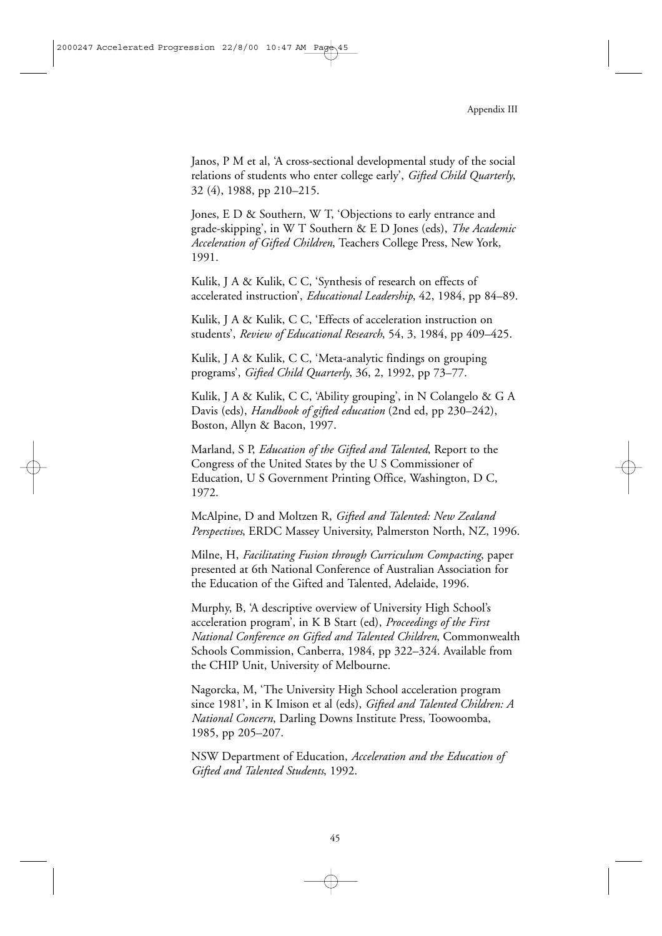Janos, P M et al, 'A cross-sectional developmental study of the social relations of students who enter college early', *Gifted Child Quarterly*, 32 (4), 1988, pp 210–215.

Jones, E D & Southern, W T, 'Objections to early entrance and grade-skipping', in W T Southern & E D Jones (eds), *The Academic Acceleration of Gifted Children*, Teachers College Press, New York, 1991.

Kulik, J A & Kulik, C C, 'Synthesis of research on effects of accelerated instruction', *Educational Leadership*, 42, 1984, pp 84–89.

Kulik, J A & Kulik, C C, 'Effects of acceleration instruction on students', *Review of Educational Research*, 54, 3, 1984, pp 409–425.

Kulik, J A & Kulik, C C, 'Meta-analytic findings on grouping programs', *Gifted Child Quarterly*, 36, 2, 1992, pp 73–77.

Kulik, J A & Kulik, C C, 'Ability grouping', in N Colangelo & G A Davis (eds), *Handbook of gifted education* (2nd ed, pp 230–242), Boston, Allyn & Bacon, 1997.

Marland, S P, *Education of the Gifted and Talented*, Report to the Congress of the United States by the U S Commissioner of Education, U S Government Printing Office, Washington, D C, 1972.

McAlpine, D and Moltzen R, *Gifted and Talented: New Zealand Perspectives*, ERDC Massey University, Palmerston North, NZ, 1996.

Milne, H, *Facilitating Fusion through Curriculum Compacting*, paper presented at 6th National Conference of Australian Association for the Education of the Gifted and Talented, Adelaide, 1996.

Murphy, B, 'A descriptive overview of University High School's acceleration program', in K B Start (ed), *Proceedings of the First National Conference on Gifted and Talented Children*, Commonwealth Schools Commission, Canberra, 1984, pp 322–324. Available from the CHIP Unit, University of Melbourne.

Nagorcka, M, 'The University High School acceleration program since 1981', in K Imison et al (eds), *Gifted and Talented Children: A National Concern*, Darling Downs Institute Press, Toowoomba, 1985, pp 205–207.

NSW Department of Education, *Acceleration and the Education of Gifted and Talented Students*, 1992.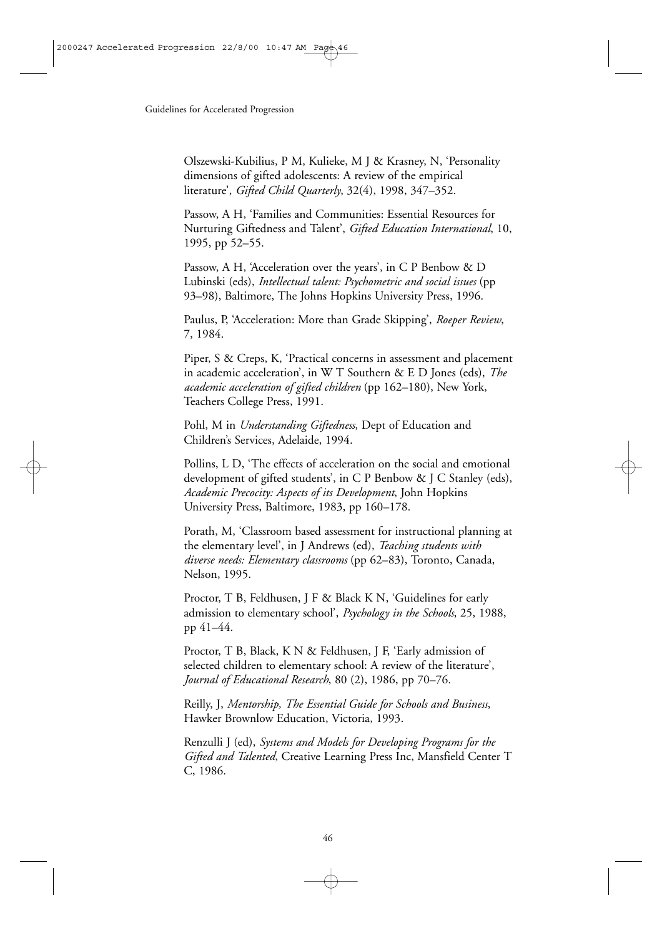Olszewski-Kubilius, P M, Kulieke, M J & Krasney, N, 'Personality dimensions of gifted adolescents: A review of the empirical literature', *Gifted Child Quarterly*, 32(4), 1998, 347–352.

Passow, A H, 'Families and Communities: Essential Resources for Nurturing Giftedness and Talent', *Gifted Education International*, 10, 1995, pp 52–55.

Passow, A H, 'Acceleration over the years', in C P Benbow & D Lubinski (eds), *Intellectual talent: Psychometric and social issues* (pp 93–98), Baltimore, The Johns Hopkins University Press, 1996.

Paulus, P, 'Acceleration: More than Grade Skipping', *Roeper Review*, 7, 1984.

Piper, S & Creps, K, 'Practical concerns in assessment and placement in academic acceleration', in W T Southern & E D Jones (eds), *The academic acceleration of gifted children* (pp 162–180), New York, Teachers College Press, 1991.

Pohl, M in *Understanding Giftedness*, Dept of Education and Children's Services, Adelaide, 1994.

Pollins, L D, 'The effects of acceleration on the social and emotional development of gifted students', in C P Benbow & J C Stanley (eds), *Academic Precocity: Aspects of its Development*, John Hopkins University Press, Baltimore, 1983, pp 160–178.

Porath, M, 'Classroom based assessment for instructional planning at the elementary level', in J Andrews (ed), *Teaching students with diverse needs: Elementary classrooms* (pp 62–83), Toronto, Canada, Nelson, 1995.

Proctor, T B, Feldhusen, J F & Black K N, 'Guidelines for early admission to elementary school', *Psychology in the Schools*, 25, 1988, pp 41–44.

Proctor, T B, Black, K N & Feldhusen, J F, 'Early admission of selected children to elementary school: A review of the literature', *Journal of Educational Research*, 80 (2), 1986, pp 70–76.

Reilly, J, *Mentorship, The Essential Guide for Schools and Business*, Hawker Brownlow Education, Victoria, 1993.

Renzulli J (ed), *Systems and Models for Developing Programs for the Gifted and Talented*, Creative Learning Press Inc, Mansfield Center T C, 1986.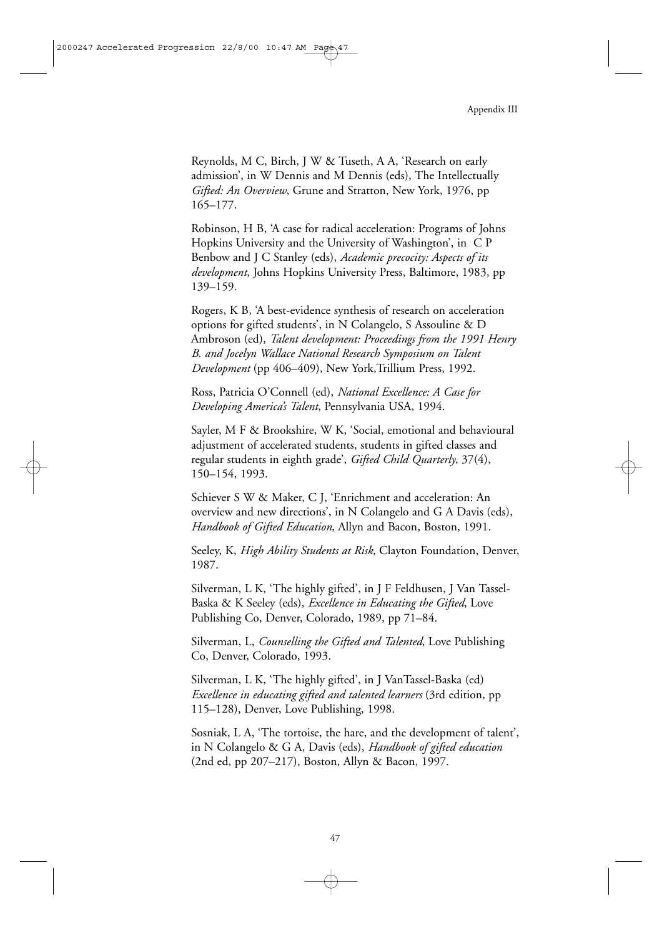Reynolds, M C, Birch, J W & Tuseth, A A, 'Research on early admission', in W Dennis and M Dennis (eds), The Intellectually *Gifted: An Overview*, Grune and Stratton, New York, 1976, pp 165–177.

Robinson, H B, 'A case for radical acceleration: Programs of Johns Hopkins University and the University of Washington', in C P Benbow and J C Stanley (eds), *Academic precocity: Aspects of its development*, Johns Hopkins University Press, Baltimore, 1983, pp 139–159.

Rogers, K B, 'A best-evidence synthesis of research on acceleration options for gifted students', in N Colangelo, S Assouline & D Ambroson (ed), *Talent development: Proceedings from the 1991 Henry B. and Jocelyn Wallace National Research Symposium on Talent Development* (pp 406–409), New York,Trillium Press, 1992.

Ross, Patricia O'Connell (ed), *National Excellence: A Case for Developing America's Talent*, Pennsylvania USA, 1994.

Sayler, M F & Brookshire, W K, 'Social, emotional and behavioural adjustment of accelerated students, students in gifted classes and regular students in eighth grade', *Gifted Child Quarterly*, 37(4), 150–154, 1993.

Schiever S W & Maker, C J, 'Enrichment and acceleration: An overview and new directions', in N Colangelo and G A Davis (eds), *Handbook of Gifted Education*, Allyn and Bacon, Boston, 1991.

Seeley, K, *High Ability Students at Risk*, Clayton Foundation, Denver, 1987.

Silverman, L K, 'The highly gifted', in J F Feldhusen, J Van Tassel-Baska & K Seeley (eds), *Excellence in Educating the Gifted*, Love Publishing Co, Denver, Colorado, 1989, pp 71–84.

Silverman, L, *Counselling the Gifted and Talented*, Love Publishing Co, Denver, Colorado, 1993.

Silverman, L K, 'The highly gifted', in J VanTassel-Baska (ed) *Excellence in educating gifted and talented learners* (3rd edition, pp 115–128), Denver, Love Publishing, 1998.

Sosniak, L A, 'The tortoise, the hare, and the development of talent', in N Colangelo & G A, Davis (eds), *Handbook of gifted education* (2nd ed, pp 207–217), Boston, Allyn & Bacon, 1997.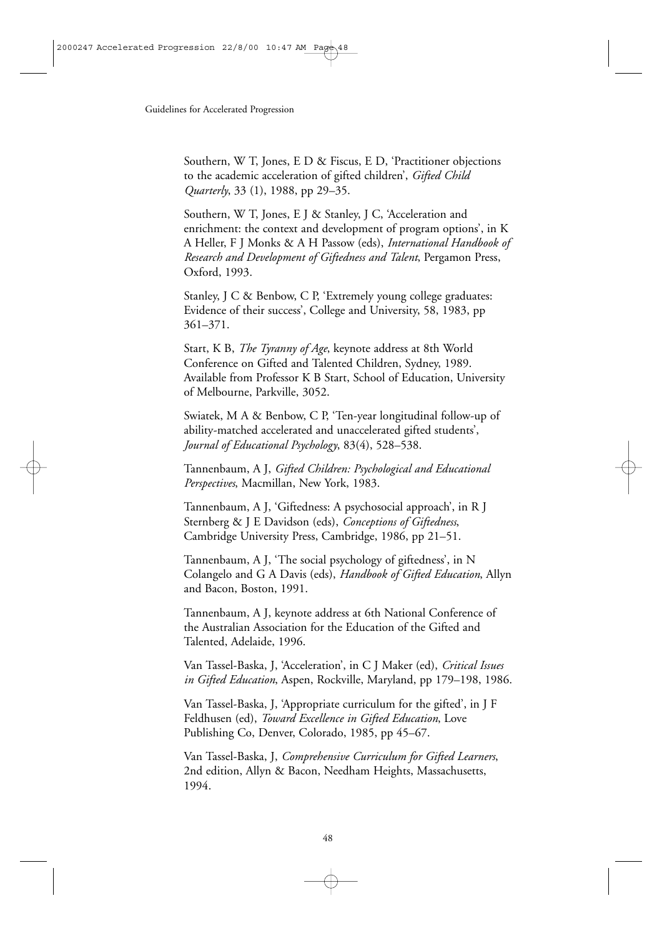Southern, W T, Jones, E D & Fiscus, E D, 'Practitioner objections to the academic acceleration of gifted children', *Gifted Child Quarterly*, 33 (1), 1988, pp 29–35.

Southern, W T, Jones, E J & Stanley, J C, 'Acceleration and enrichment: the context and development of program options', in K A Heller, F J Monks & A H Passow (eds), *International Handbook of Research and Development of Giftedness and Talent*, Pergamon Press, Oxford, 1993.

Stanley, J C & Benbow, C P, 'Extremely young college graduates: Evidence of their success', College and University, 58, 1983, pp 361–371.

Start, K B, *The Tyranny of Age*, keynote address at 8th World Conference on Gifted and Talented Children, Sydney, 1989. Available from Professor K B Start, School of Education, University of Melbourne, Parkville, 3052.

Swiatek, M A & Benbow, C P, 'Ten-year longitudinal follow-up of ability-matched accelerated and unaccelerated gifted students', *Journal of Educational Psychology*, 83(4), 528–538.

Tannenbaum, A J, *Gifted Children: Psychological and Educational Perspectives*, Macmillan, New York, 1983.

Tannenbaum, A J, 'Giftedness: A psychosocial approach', in R J Sternberg & J E Davidson (eds), *Conceptions of Giftedness*, Cambridge University Press, Cambridge, 1986, pp 21–51.

Tannenbaum, A J, 'The social psychology of giftedness', in N Colangelo and G A Davis (eds), *Handbook of Gifted Education*, Allyn and Bacon, Boston, 1991.

Tannenbaum, A J, keynote address at 6th National Conference of the Australian Association for the Education of the Gifted and Talented, Adelaide, 1996.

Van Tassel-Baska, J, 'Acceleration', in C J Maker (ed), *Critical Issues in Gifted Education*, Aspen, Rockville, Maryland, pp 179–198, 1986.

Van Tassel-Baska, J, 'Appropriate curriculum for the gifted', in J F Feldhusen (ed), *Toward Excellence in Gifted Education*, Love Publishing Co, Denver, Colorado, 1985, pp 45–67.

Van Tassel-Baska, J, *Comprehensive Curriculum for Gifted Learners*, 2nd edition, Allyn & Bacon, Needham Heights, Massachusetts, 1994.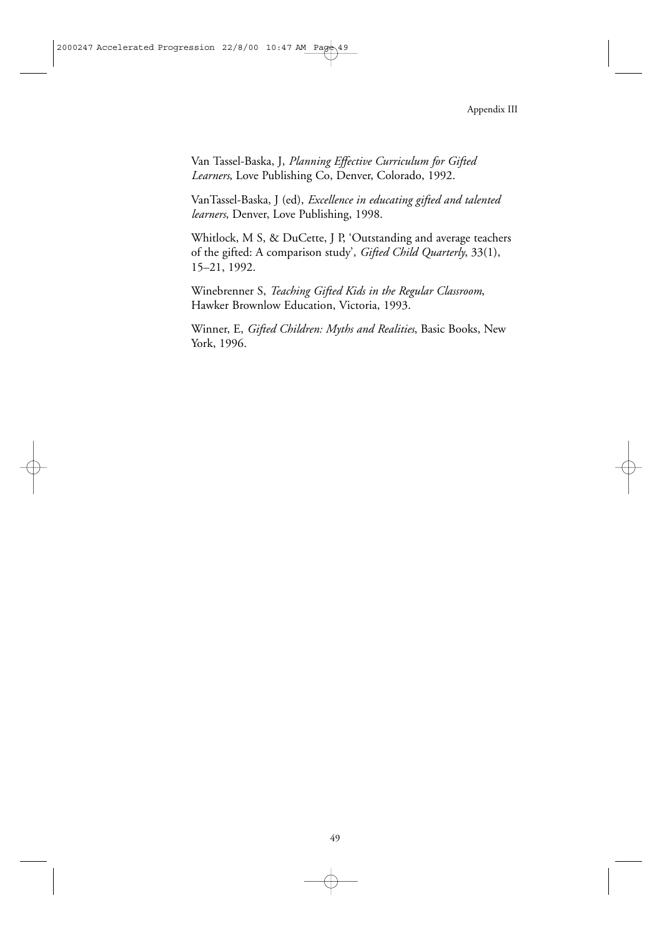Van Tassel-Baska, J, *Planning Effective Curriculum for Gifted Learners*, Love Publishing Co, Denver, Colorado, 1992.

VanTassel-Baska, J (ed), *Excellence in educating gifted and talented learners*, Denver, Love Publishing, 1998.

Whitlock, M S, & DuCette, J P, 'Outstanding and average teachers of the gifted: A comparison study', *Gifted Child Quarterly*, 33(1), 15–21, 1992.

Winebrenner S, *Teaching Gifted Kids in the Regular Classroom*, Hawker Brownlow Education, Victoria, 1993.

Winner, E, *Gifted Children: Myths and Realities*, Basic Books, New York, 1996.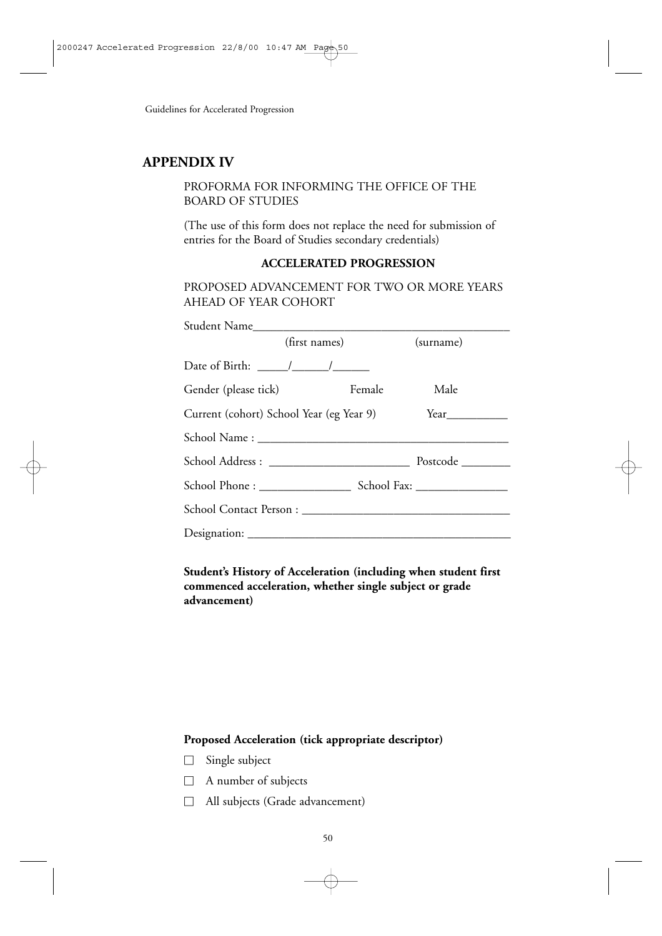## **APPENDIX IV**

#### PROFORMA FOR INFORMING THE OFFICE OF THE BOARD OF STUDIES

(The use of this form does not replace the need for submission of entries for the Board of Studies secondary credentials)

#### **ACCELERATED PROGRESSION**

PROPOSED ADVANCEMENT FOR TWO OR MORE YEARS AHEAD OF YEAR COHORT

| Student Name                             |               |                    |
|------------------------------------------|---------------|--------------------|
|                                          | (first names) | (surname)          |
| Date of Birth: $\frac{\sqrt{2}}{2}$      |               |                    |
| Gender (please tick)                     | Female        | Male               |
| Current (cohort) School Year (eg Year 9) |               | Year               |
|                                          |               |                    |
|                                          |               | Postcode _________ |
|                                          |               |                    |
|                                          |               |                    |
|                                          |               |                    |

**Student's History of Acceleration (including when student first commenced acceleration, whether single subject or grade advancement)**

#### **Proposed Acceleration (tick appropriate descriptor)**

- Single subject
- A number of subjects
- All subjects (Grade advancement)